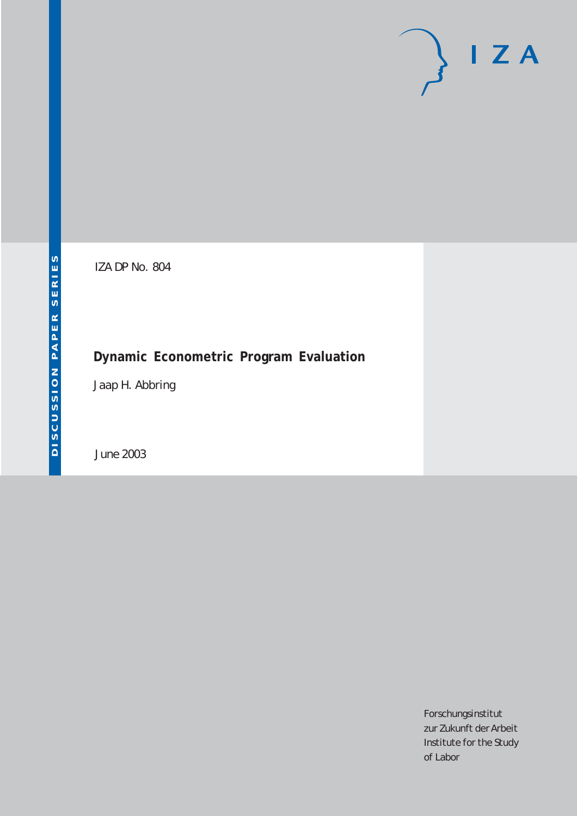# $I Z A$

IZA DP No. 804

## **Dynamic Econometric Program Evaluation**

Jaap H. Abbring

June 2003

Forschungsinstitut zur Zukunft der Arbeit Institute for the Study of Labor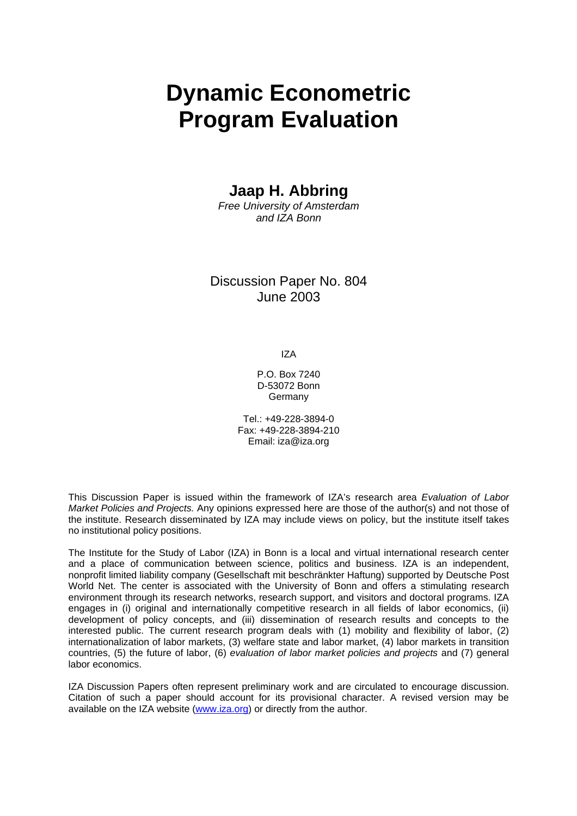# **Dynamic Econometric Program Evaluation**

## **Jaap H. Abbring**

*Free University of Amsterdam and IZA Bonn* 

### Discussion Paper No. 804 June 2003

IZA

P.O. Box 7240 D-53072 Bonn **Germany** 

Tel.: +49-228-3894-0 Fax: +49-228-3894-210 Email: [iza@iza.org](mailto:iza@iza.org)

This Discussion Paper is issued within the framework of IZA's research area *Evaluation of Labor Market Policies and Projects.* Any opinions expressed here are those of the author(s) and not those of the institute. Research disseminated by IZA may include views on policy, but the institute itself takes no institutional policy positions.

The Institute for the Study of Labor (IZA) in Bonn is a local and virtual international research center and a place of communication between science, politics and business. IZA is an independent, nonprofit limited liability company (Gesellschaft mit beschränkter Haftung) supported by Deutsche Post World Net. The center is associated with the University of Bonn and offers a stimulating research environment through its research networks, research support, and visitors and doctoral programs. IZA engages in (i) original and internationally competitive research in all fields of labor economics, (ii) development of policy concepts, and (iii) dissemination of research results and concepts to the interested public. The current research program deals with (1) mobility and flexibility of labor, (2) internationalization of labor markets, (3) welfare state and labor market, (4) labor markets in transition countries, (5) the future of labor, (6) *evaluation of labor market policies and projects* and (7) general labor economics.

IZA Discussion Papers often represent preliminary work and are circulated to encourage discussion. Citation of such a paper should account for its provisional character. A revised version may be available on the IZA website ([www.iza.org](http://www.iza.org/)) or directly from the author.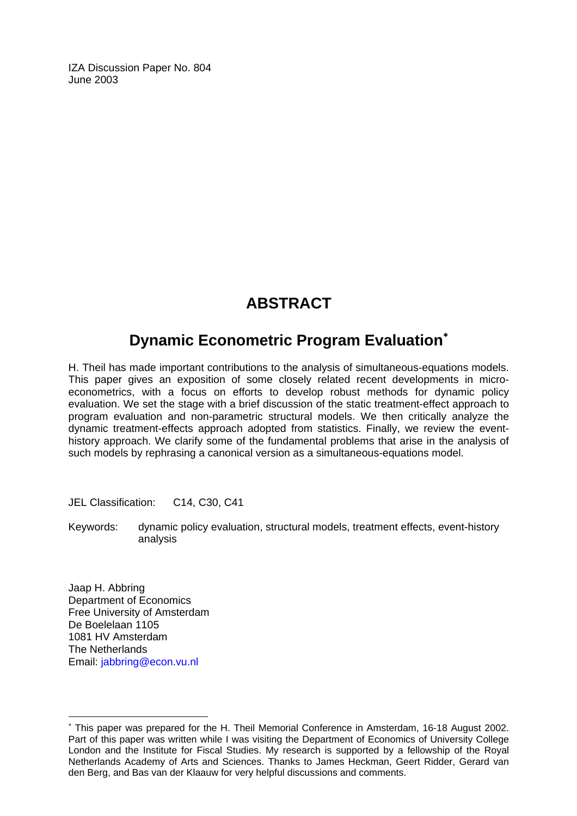IZA Discussion Paper No. 804 June 2003

## **ABSTRACT**

## **Dynamic Econometric Program Evaluation**[∗](#page-2-0)

H. Theil has made important contributions to the analysis of simultaneous-equations models. This paper gives an exposition of some closely related recent developments in microeconometrics, with a focus on efforts to develop robust methods for dynamic policy evaluation. We set the stage with a brief discussion of the static treatment-effect approach to program evaluation and non-parametric structural models. We then critically analyze the dynamic treatment-effects approach adopted from statistics. Finally, we review the eventhistory approach. We clarify some of the fundamental problems that arise in the analysis of such models by rephrasing a canonical version as a simultaneous-equations model.

JEL Classification: C14, C30, C41

Keywords: dynamic policy evaluation, structural models, treatment effects, event-history analysis

Jaap H. Abbring Department of Economics Free University of Amsterdam De Boelelaan 1105 1081 HV Amsterdam The Netherlands Email: [jabbring@econ.vu.nl](mailto:jabbring@econ.vu.nl) 

 $\overline{a}$ 

<span id="page-2-0"></span><sup>∗</sup> This paper was prepared for the H. Theil Memorial Conference in Amsterdam, 16-18 August 2002. Part of this paper was written while I was visiting the Department of Economics of University College London and the Institute for Fiscal Studies. My research is supported by a fellowship of the Royal Netherlands Academy of Arts and Sciences. Thanks to James Heckman, Geert Ridder, Gerard van den Berg, and Bas van der Klaauw for very helpful discussions and comments.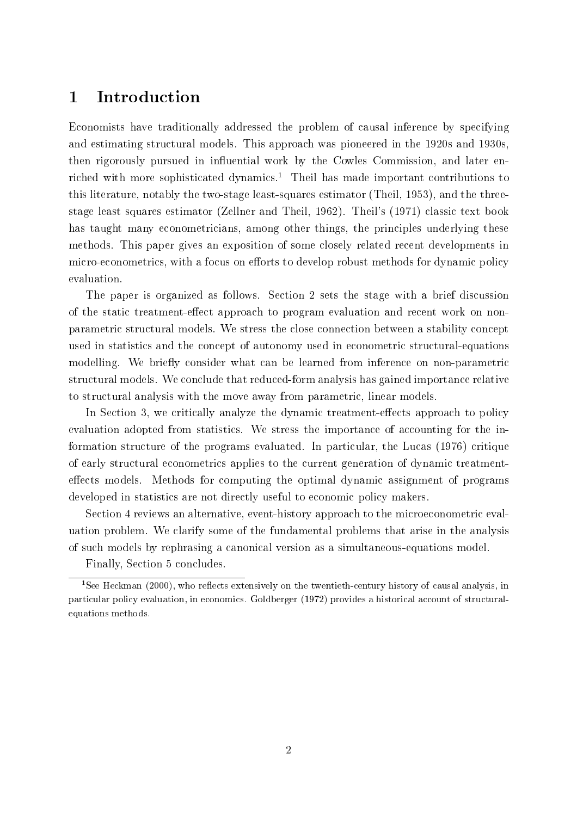#### **Introduction**  $\mathbf{1}$

Economists have traditionally addressed the problem of causal inference by specifying and estimating structural models. This approach was pioneered in the 1920s and 1930s, then rigorously pursued in influential work by the Cowles Commission, and later enriched with more sophisticated dynamics.<sup>1</sup> Theil has made important contributions to this literature, notably the two-stage least-squares estimator (Theil, 1953), and the threestage least squares estimator (Zellner and Theil, 1962). Theil's (1971) classic text book has taught many econometricians, among other things, the principles underlying these methods. This paper gives an exposition of some closely related recent developments in micro-econometrics, with a focus on efforts to develop robust methods for dynamic policy evaluation.

The paper is organized as follows. Section 2 sets the stage with a brief discussion of the static treatment-effect approach to program evaluation and recent work on nonparametric structural models. We stress the close connection between a stability concept used in statistics and the concept of autonomy used in econometric structural-equations modelling. We briefly consider what can be learned from inference on non-parametric structural models. We conclude that reduced-form analysis has gained importance relative to structural analysis with the move away from parametric, linear models.

In Section 3, we critically analyze the dynamic treatment-effects approach to policy evaluation adopted from statistics. We stress the importance of accounting for the information structure of the programs evaluated. In particular, the Lucas (1976) critique of early structural econometrics applies to the current generation of dynamic treatmenteffects models. Methods for computing the optimal dynamic assignment of programs developed in statistics are not directly useful to economic policy makers.

Section 4 reviews an alternative, event-history approach to the microeconometric evaluation problem. We clarify some of the fundamental problems that arise in the analysis of such models by rephrasing a canonical version as a simultaneous-equations model.

Finally, Section 5 concludes.

 $1$ See Heckman (2000), who reflects extensively on the twentieth-century history of causal analysis, in particular policy evaluation, in economics. Goldberger (1972) provides a historical account of structuralequations methods.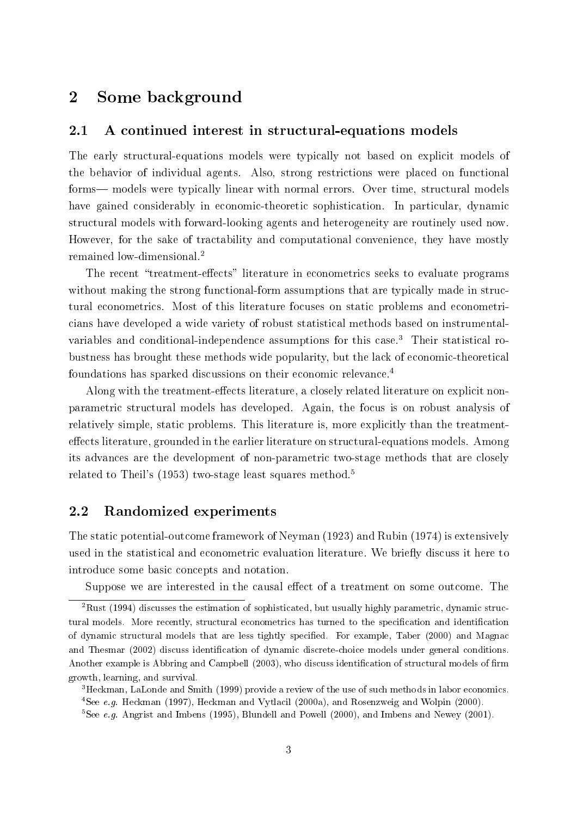## <sup>2</sup> Some background

#### 2.1 A continued interest in structural-equations models

The early structural-equations models were typically not based on explicit models of the behavior of individual agents. Also, strong restrictions were placed on functional forms— models were typically linear with normal errors. Over time, structural models have gained considerably in economic-theoretic sophistication. In particular, dynamic structural models with forward-looking agents and heterogeneity are routinely used now. However, for the sake of tractability and computational convenience, they have mostly remained low-dimensional.2

The recent "treatment-effects" literature in econometrics seeks to evaluate programs without making the strong functional-form assumptions that are typically made in structural econometrics. Most of this literature focuses on static problems and econometricians have developed a wide variety of robust statistical methods based on instrumentalvariables and conditional-independence assumptions for this case.<sup>3</sup> Their statistical robustness has brought these methods wide popularity, but the lack of economic-theoretical foundations has sparked discussions on their economic relevance.<sup>4</sup>

Along with the treatment-effects literature, a closely related literature on explicit nonparametric structural models has developed. Again, the focus is on robust analysis of relatively simple, static problems. This literature is, more explicitly than the treatmenteffects literature, grounded in the earlier literature on structural-equations models. Among its advances are the development of non-parametric two-stage methods that are closely related to Theil's (1953) two-stage least squares method.<sup>5</sup>

#### 2.2 Randomized experiments

The static potential-outcome framework of Neyman (1923) and Rubin (1974) is extensively used in the statistical and econometric evaluation literature. We briefly discuss it here to introduce some basic concepts and notation.

Suppose we are interested in the causal effect of a treatment on some outcome. The

<sup>2</sup>Rust (1994) discusses the estimation of sophisticated, but usually highly parametric, dynamic structural models. More recently, structural econometrics has turned to the specification and identification of dynamic structural models that are less tightly specied. For example, Taber (2000) and Magnac and Thesmar (2002) discuss identification of dynamic discrete-choice models under general conditions. Another example is Abbring and Campbell (2003), who discuss identification of structural models of firm growth, learning, and survival.

<sup>3</sup>Heckman, LaLonde and Smith (1999) provide a review of the use of such methods in labor economics. 4See e.g. Heckman (1997), Heckman and Vytlacil (2000a), and Rosenzweig and Wolpin (2000).

<sup>&</sup>lt;sup>5</sup>See e.g. Angrist and Imbens (1995), Blundell and Powell (2000), and Imbens and Newey (2001).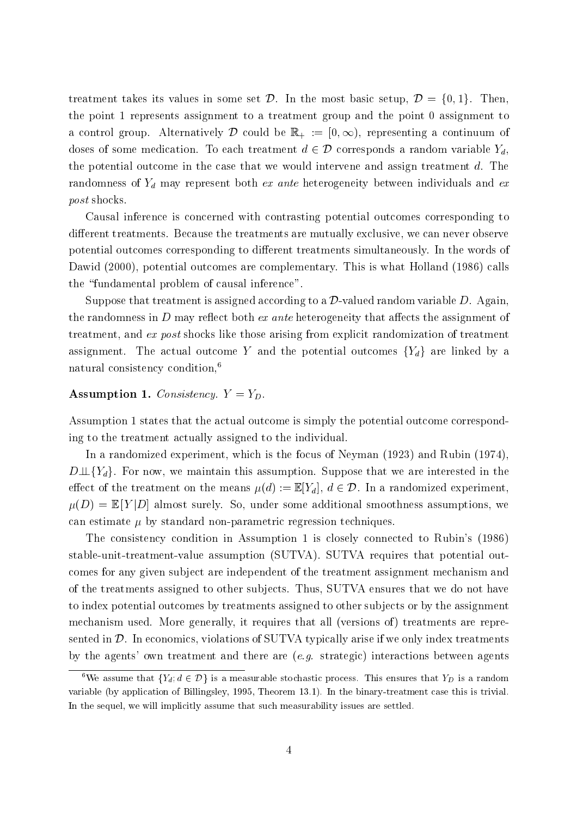treatment takes its values in some set  $\mathcal{D}$ . In the most basic setup,  $\mathcal{D} = \{0, 1\}$ . Then, the point 1 represents assignment to a treatment group and the point 0 assignment to a control group. Alternatively D could be  $\mathbb{R}_+ := [0, \infty)$ , representing a continuum of doses of some medication. To each treatment  $d \in \mathcal{D}$  corresponds a random variable  $Y_d$ , the potential outcome in the case that we would intervene and assign treatment d. The randomness of  $Y_d$  may represent both ex ante heterogeneity between individuals and ex post shocks.

Causal inference is concerned with contrasting potential outcomes corresponding to different treatments. Because the treatments are mutually exclusive, we can never observe potential outcomes corresponding to different treatments simultaneously. In the words of Dawid (2000), potential outcomes are complementary. This is what Holland (1986) calls the "fundamental problem of causal inference".

Suppose that treatment is assigned according to a  $\mathcal{D}$ -valued random variable  $D$ . Again the randomness in D may reflect both ex ante heterogeneity that affects the assignment of treatment, and ex post shocks like those arising from explicit randomization of treatment assignment. The actual outcome Y and the potential outcomes  ${Y_d}$  are linked by a natural consistency condition,6

#### Assumption 1. Consistency.  $Y = Y_D$ .

Assumption 1 states that the actual outcome is simply the potential outcome corresponding to the treatment actually assigned to the individual.

In a randomized experiment, which is the focus of Neyman (1923) and Rubin (1974),  $D \perp \!\!\!\perp \{Y_d\}$ . For now, we maintain this assumption. Suppose that we are interested in the effect of the treatment on the means  $\mu(d) := \mathbb{E}[Y_d]$ ,  $d \in \mathcal{D}$ . In a randomized experiment,  $\mu(D) = \mathbb{E}[Y|D]$  almost surely. So, under some additional smoothness assumptions, we can estimate  $\mu$  by standard non-parametric regression techniques.

The consistency condition in Assumption 1 is closely connected to Rubin's (1986) stable-unit-treatment-value assumption (SUTVA). SUTVA requires that potential outcomes for any given subject are independent of the treatment assignment mechanism and of the treatments assigned to other sub jects. Thus, SUTVA ensures that we do not have to index potential outcomes by treatments assigned to other subjects or by the assignment mechanism used. More generally, it requires that all (versions of) treatments are represented in  $D$ . In economics, violations of SUTVA typically arise if we only index treatments by the agents' own treatment and there are  $(e,q)$  strategic) interactions between agents

<sup>&</sup>lt;sup>6</sup>We assume that  ${Y_d, d \in \mathcal{D}}$  is a measurable stochastic process. This ensures that  $Y_D$  is a random variable (by application of Billingsley, 1995, Theorem 13.1). In the binary-treatment case this is trivial. In the sequel, we will implicitly assume that such measurability issues are settled.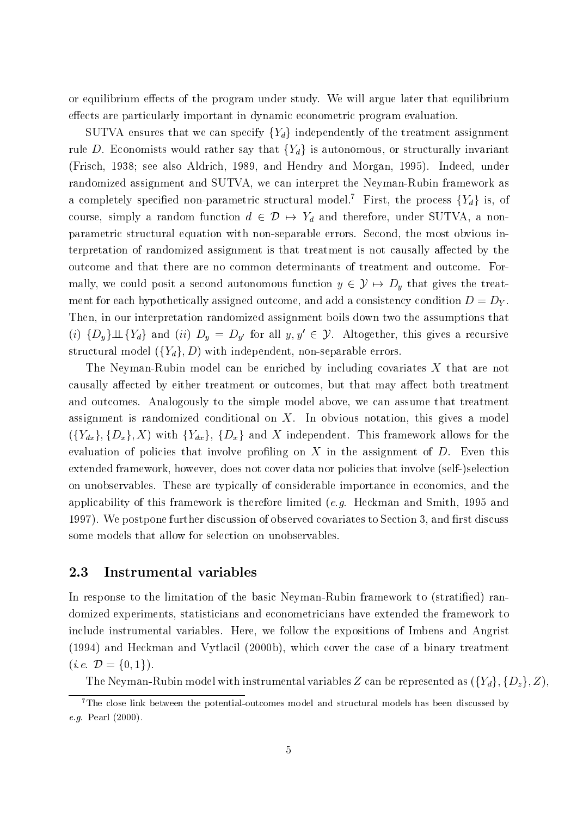or equilibrium effects of the program under study. We will argue later that equilibrium effects are particularly important in dynamic econometric program evaluation.

SUTVA ensures that we can specify  ${Y_d}$  independently of the treatment assignment rule D. Economists would rather say that  ${Y_d}$  is autonomous, or structurally invariant (Frisch, 1938; see also Aldrich, 1989, and Hendry and Morgan, 1995). Indeed, under randomized assignment and SUTVA, we can interpret the Neyman-Rubin framework as a completely specified non-parametric structural model.<sup>7</sup> First, the process  $\{Y_d\}$  is, of course, simply a random function  $d \in \mathcal{D} \mapsto Y_d$  and therefore, under SUTVA, a nonparametric structural equation with non-separable errors. Second, the most obvious interpretation of randomized assignment is that treatment is not causally affected by the outcome and that there are no common determinants of treatment and outcome. Formally, we could posit a second autonomous function  $y \in \mathcal{Y} \mapsto D_y$  that gives the treatment for each hypothetically assigned outcome, and add a consistency condition  $D = D<sub>Y</sub>$ . Then, in our interpretation randomized assignment boils down two the assumptions that (i)  $\{D_y\} \perp \!\!\!\perp \{Y_d\}$  and (ii)  $D_y = D_{y'}$  for all  $y, y' \in \mathcal{Y}$ . Altogether, this gives a recursive structural model  $({Y_d}, D)$  with independent, non-separable errors.

The Neyman-Rubin model can be enriched by including covariates <sup>X</sup> that are not causally affected by either treatment or outcomes, but that may affect both treatment and outcomes. Analogously to the simple model above, we can assume that treatment assignment is randomized conditional on  $X$ . In obvious notation, this gives a model  $({Y_{dx}}$ ,  ${D_x}$ , X) with  ${Y_{dx}}$ ,  ${D_x}$  and X independent. This framework allows for the evaluation of policies that involve profiling on  $X$  in the assignment of  $D$ . Even this extended framework, however, does not cover data nor policies that involve (self-)selection on unobservables. These are typically of considerable importance in economics, and the applicability of this framework is therefore limited (e.g. Heckman and Smith, 1995 and 1997). We postpone further discussion of observed covariates to Section 3, and first discuss some models that allow for selection on unobservables.

#### 2.3 Instrumental variables

In response to the limitation of the basic Neyman-Rubin framework to (stratified) randomized experiments, statisticians and econometricians have extended the framework to include instrumental variables. Here, we follow the expositions of Imbens and Angrist (1994) and Heckman and Vytlacil (2000b), which cover the case of a binary treatment (*i.e.*  $\mathcal{D} = \{0, 1\}$ ).

The Neyman-Rubin model with instrumental variables Z can be represented as  $({Y_d}, {D_z}, Z)$ ,

 $7$ The close link between the potential-outcomes model and structural models has been discussed by e.g. Pearl (2000).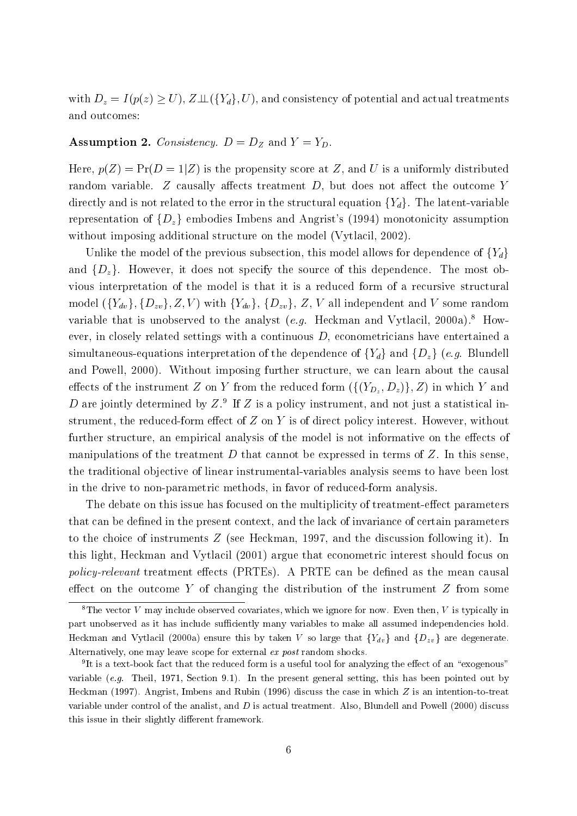with  $D_z = I(p(z) \geq U)$ ,  $Z \perp \!\!\! \perp (\{Y_d\}, U)$ , and consistency of potential and actual treatments and outcomes:

#### **Assumption 2.** Consistency.  $D = D_Z$  and  $Y = Y_D$ .

Here,  $p(Z) = Pr(D = 1|Z)$  is the propensity score at Z, and U is a uniformly distributed random variable. Z causally affects treatment  $D$ , but does not affect the outcome Y directly and is not related to the error in the structural equation  ${Y_d}$ . The latent-variable representation of  $\{D_z\}$  embodies Imbens and Angrist's (1994) monotonicity assumption without imposing additional structure on the model (Vytlacil, 2002).

Unlike the model of the previous subsection, this model allows for dependence of  ${Y_d}$ and  $\{D_z\}$ . However, it does not specify the source of this dependence. The most obvious interpretation of the model is that it is a reduced form of a recursive structural model  $({Y_{dv}}, {D_{zv}}, Z, V)$  with  ${Y_{dv}}$ ,  ${D_{zv}}$ , Z, V all independent and V some random variable that is unobserved to the analyst (e.g. Heckman and Vytlacil, 2000a).<sup>8</sup> However, in closely related settings with a continuous  $D$ , econometricians have entertained a simultaneous-equations interpretation of the dependence of  ${Y_d}$  and  ${D_z}$  (e.g. Blundell and Powell, 2000). Without imposing further structure, we can learn about the causal ercons of the instrument  $\equiv$  on  $\equiv$  from the reduced form (f(  $D_{z}$  )  $=$   $z$  ) j  $\equiv$  ) in which  $\equiv$  and  $\equiv$  $D$  are jointly determined by  $Z.^\circ$  if  $Z$  is a policy instrument, and not just a statistical instrument, the reduced-form effect of  $Z$  on  $Y$  is of direct policy interest. However, without further structure, an empirical analysis of the model is not informative on the effects of manipulations of the treatment  $D$  that cannot be expressed in terms of  $Z$ . In this sense, the traditional objective of linear instrumental-variables analysis seems to have been lost in the drive to non-parametric methods, in favor of reduced-form analysis.

The debate on this issue has focused on the multiplicity of treatment-effect parameters that can be defined in the present context, and the lack of invariance of certain parameters to the choice of instruments  $Z$  (see Heckman, 1997, and the discussion following it). In this light, Heckman and Vytlacil (2001) argue that econometric interest should focus on policy-relevant treatment effects (PRTEs). A PRTE can be defined as the mean causal effect on the outcome Y of changing the distribution of the instrument  $Z$  from some

<sup>&</sup>lt;sup>8</sup>The vector V may include observed covariates, which we ignore for now. Even then, V is typically in part unobserved as it has include sufficiently many variables to make all assumed independencies hold. Heckman and Vytlacil (2000a) ensure this by taken V so large that  ${Y_{dv}}$  and  ${D_{zv}}$  are degenerate. Alternatively, one may leave scope for external ex post random shocks.

<sup>9</sup> It is a text-book fact that the reduced form is a useful tool for analyzing the eect of an \exogenous" variable (e.g. Theil, 1971, Section 9.1). In the present general setting, this has been pointed out by Heckman (1997). Angrist, Imbens and Rubin (1996) discuss the case in which <sup>Z</sup> is an intention-to-treat variable under control of the analist, and  $D$  is actual treatment. Also, Blundell and Powell (2000) discuss this issue in their slightly different framework.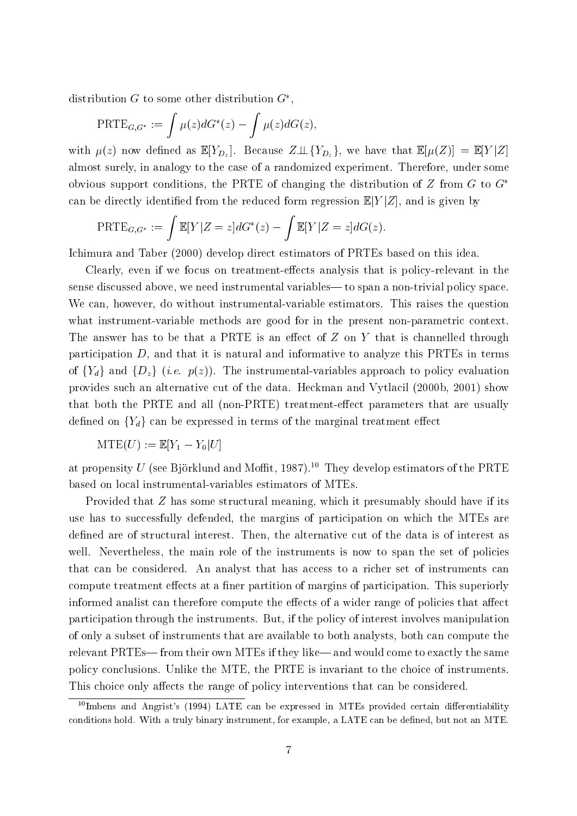distribution  $G$  to some other distribution  $G^*$ .

$$
\mathrm{PRTE}_{G,G^*} := \int \mu(z) dG^*(z) - \int \mu(z) dG(z),
$$

with  $f^*(\Gamma')$  for a function as E  $\Gamma$   $Dz$  , we have that  $\Gamma$   $Dz$  , we have that  $\Gamma$  [( $f^*(\Gamma')$  )  $\Gamma$   $\Gamma$  [ $\Gamma$  ] almost surely, in analogy to the case of a randomized experiment. Therefore, under some obvious support conditions, the PRTE of changing the distribution of  $Z$  from  $G$  to  $G^*$ can be directly identified from the reduced form regression  $\mathbb{E}[Y|Z]$ , and is given by

$$
\operatorname{PRTE}_{G,G^*} := \int \mathbb{E}[Y|Z=z] dG^*(z) - \int \mathbb{E}[Y|Z=z] dG(z).
$$

Ichimura and Taber (2000) develop direct estimators of PRTEs based on this idea.

Clearly, even if we focus on treatment-effects analysis that is policy-relevant in the sense discussed above, we need instrumental variables— to span a non-trivial policy space. We can, however, do without instrumental-variable estimators. This raises the question what instrument-variable methods are good for in the present non-parametric context. The answer has to be that a PRTE is an effect of  $Z$  on  $Y$  that is channelled through participation  $D$ , and that it is natural and informative to analyze this PRTEs in terms of  ${Y_d}$  and  ${D_z}$  (i.e.  $p(z)$ ). The instrumental-variables approach to policy evaluation provides such an alternative cut of the data. Heckman and Vytlacil (2000b, 2001) show that both the PRTE and all (non-PRTE) treatment-effect parameters that are usually defined on  ${Y_d}$  can be expressed in terms of the marginal treatment effect

$$
\mathrm{MTE}(U):=\mathbb{E}[Y_1-Y_0|U]
$$

at propensity U (see Björklund and Moffit, 1987).<sup>10</sup> They develop estimators of the PRTE based on local instrumental-variables estimators of MTEs.

Provided that <sup>Z</sup> has some structural meaning, which it presumably should have if its use has to successfully defended, the margins of participation on which the MTEs are defined are of structural interest. Then, the alternative cut of the data is of interest as well. Nevertheless, the main role of the instruments is now to span the set of policies that can be considered. An analyst that has access to a richer set of instruments can compute treatment effects at a finer partition of margins of participation. This superiorly informed analist can therefore compute the effects of a wider range of policies that affect participation through the instruments. But, if the policy of interest involves manipulation of only a subset of instruments that are available to both analysts, both can compute the relevant PRTEs—from their own MTEs if they like—and would come to exactly the same policy conclusions. Unlike the MTE, the PRTE is invariant to the choice of instruments. This choice only affects the range of policy interventions that can be considered.

 $10$ Imbens and Angrist's (1994) LATE can be expressed in MTEs provided certain differentiability conditions hold. With a truly binary instrument, for example, a LATE can be dened, but not an MTE.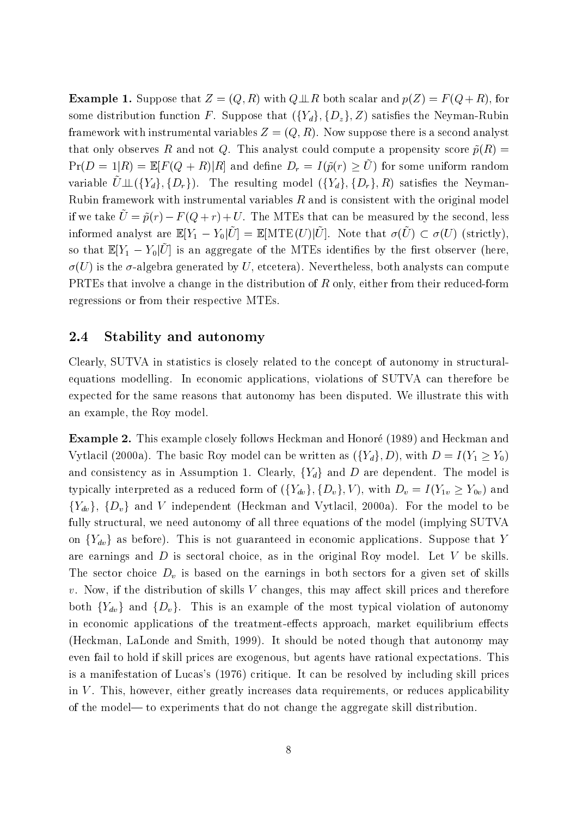**Example 1.** Suppose that  $Z = (Q, R)$  with  $Q \perp R$  both scalar and  $p(Z) = F(Q + R)$ , for some distribution function F. Suppose that  $({Y_d}, {D_z}, Z)$  satisfies the Neyman-Rubin framework with instrumental variables  $Z = (Q, R)$ . Now suppose there is a second analyst that only observes R and not Q. This analyst could compute a propensity score  $\tilde{p}(R)$  =  $P(P) = P[P] = P[P]$  ( $Q \pm R$ ) [R] and define  $D<sub>r</sub> = R(p(r) \geq C)$  for some uniform random variable  $\tilde{U}\perp \!\!\!\perp (\{Y_d\}, \{D_r\}).$  The resulting model  $(\{Y_d\}, \{D_r\}, R)$  satisfies the Neyman-Rubin framework with instrumental variables  $R$  and is consistent with the original model if we take  $\tilde{U} = \tilde{p}(r) - F(Q + r) + U$ . The MTEs that can be measured by the second, less informed analyst are  $\mathbb{E}[Y] = Y_0|U| = \mathbb{E}[M]$  for  $U|U|$ . Note that  $U(U) \subset U(U)$  (strictly), so that  $\mathbb{E}[Y] = Y_0 |U|$  is an aggregate of the MTEs identifies by the mst observer (here,  $\sigma(U)$  is the  $\sigma$ -algebra generated by U, etcetera). Nevertheless, both analysts can compute PRTEs that involve a change in the distribution of  $R$  only, either from their reduced-form regressions or from their respective MTEs.

#### 2.4 Stability and autonomy

Clearly, SUTVA in statistics is closely related to the concept of autonomy in structuralequations modelling. In economic applications, violations of SUTVA can therefore be expected for the same reasons that autonomy has been disputed. We illustrate this with an example, the Roy model.

Example 2. This example closely follows Heckman and Honore (1989) and Heckman and Vytlacil (2000a). The basic Roy model can be written as  $({Y_d}, D)$ , with  $D = I(Y_1 \ge Y_0)$ and consistency as in Assumption 1. Clearly,  ${Y_d}$  and D are dependent. The model is typically interpreted as a reduced form of  $(\{Y_{dv}\}, \{D_v\}, V)$ , with  $D_v = I(Y_{1v} \ge Y_{0v})$  and  ${Y_{dv}}$ ,  ${D_v}$  and V independent (Heckman and Vytlacil, 2000a). For the model to be fully structural, we need autonomy of all three equations of the model (implying SUTVA on  ${Y_{dv}}$  as before). This is not guaranteed in economic applications. Suppose that Y are earnings and  $D$  is sectoral choice, as in the original Roy model. Let  $V$  be skills. The sector choice  $D_v$  is based on the earnings in both sectors for a given set of skills  $v.$  Now, if the distribution of skills V changes, this may affect skill prices and therefore both  ${Y_{dv}}$  and  ${D_v}$ . This is an example of the most typical violation of autonomy in economic applications of the treatment-effects approach, market equilibrium effects (Heckman, LaLonde and Smith, 1999). It should be noted though that autonomy may even fail to hold if skill prices are exogenous, but agents have rational expectations. This is a manifestation of Lucas's (1976) critique. It can be resolved by including skill prices in  $V$ . This, however, either greatly increases data requirements, or reduces applicability of the model| to experiments that do not change the aggregate skill distribution.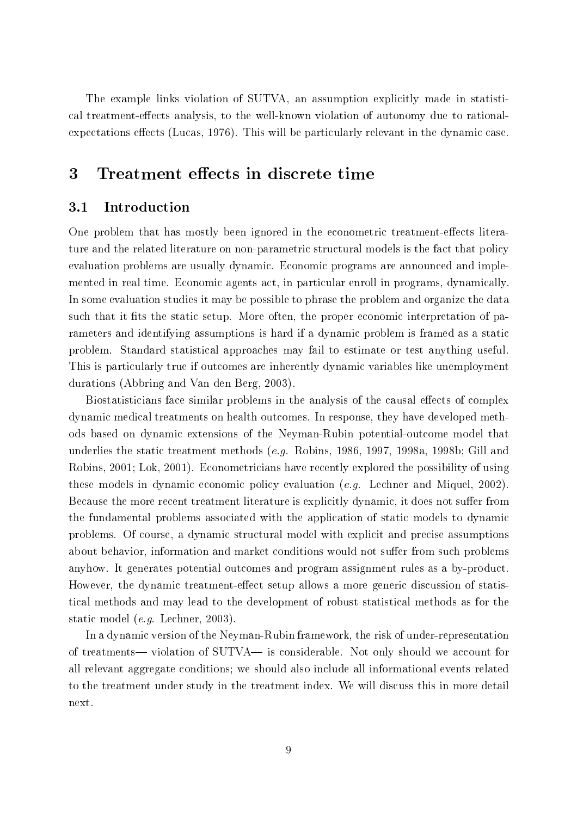The example links violation of SUTVA, an assumption explicitly made in statistical treatment-effects analysis, to the well-known violation of autonomy due to rationalexpectations effects (Lucas, 1976). This will be particularly relevant in the dynamic case.

## 3 Treatment effects in discrete time

#### **Introduction**  $3.1$

One problem that has mostly been ignored in the econometric treatment-effects literature and the related literature on non-parametric structural models is the fact that policy evaluation problems are usually dynamic. Economic programs are announced and implemented in real time. Economic agents act, in particular enroll in programs, dynamically. In some evaluation studies it may be possible to phrase the problem and organize the data such that it fits the static setup. More often, the proper economic interpretation of parameters and identifying assumptions is hard if a dynamic problem is framed as a static problem. Standard statistical approaches may fail to estimate or test anything useful. This is particularly true if outcomes are inherently dynamic variables like unemployment durations (Abbring and Van den Berg, 2003).

Biostatisticians face similar problems in the analysis of the causal effects of complex dynamic medical treatments on health outcomes. In response, they have developed methods based on dynamic extensions of the Neyman-Rubin potential-outcome model that underlies the static treatment methods (e.g. Robins, 1986, 1997, 1998a, 1998b; Gill and Robins, 2001; Lok, 2001). Econometricians have recently explored the possibility of using these models in dynamic economic policy evaluation (e.g. Lechner and Miquel, 2002). Because the more recent treatment literature is explicitly dynamic, it does not suffer from the fundamental problems associated with the application of static models to dynamic problems. Of course, a dynamic structural model with explicit and precise assumptions about behavior, information and market conditions would not suffer from such problems anyhow. It generates potential outcomes and program assignment rules as a by-product. However, the dynamic treatment-effect setup allows a more generic discussion of statistical methods and may lead to the development of robust statistical methods as for the static model (e.g. Lechner, 2003).

In a dynamic version of the Neyman-Rubin framework, the risk of under-representation of treatments— violation of SUTVA— is considerable. Not only should we account for all relevant aggregate conditions; we should also include all informational events related to the treatment under study in the treatment index. We will discuss this in more detail next.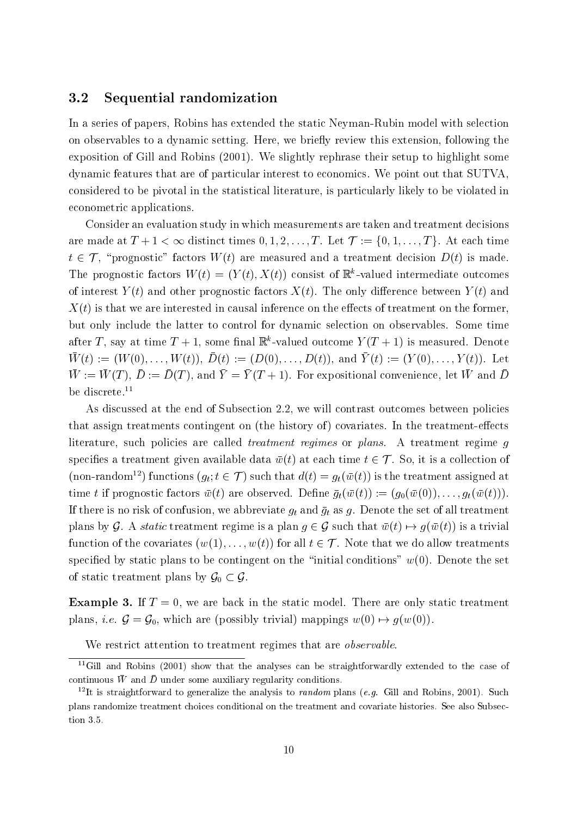#### 3.2 Sequential randomization

In a series of papers, Robins has extended the static Neyman-Rubin model with selection on observables to a dynamic setting. Here, we briefly review this extension, following the exposition of Gill and Robins (2001). We slightly rephrase their setup to highlight some dynamic features that are of particular interest to economics. We point out that SUTVA, considered to be pivotal in the statistical literature, is particularly likely to be violated in econometric applications.

Consider an evaluation study in which measurements are taken and treatment decisions are made at  $T + 1 < \infty$  distinct times  $0, 1, 2, \ldots, T$ . Let  $\mathcal{T} := \{0, 1, \ldots, T\}$ . At each time  $t \in \mathcal{T}$ , "prognostic" factors  $W(t)$  are measured and a treatment decision  $D(t)$  is made. The prognostic factors  $W(t) \equiv (Y(t), X(t))$  consist of  $\mathbb{R}$  -valued intermediate outcomes of interest  $Y(t)$  and other prognostic factors  $X(t)$ . The only difference between  $Y(t)$  and  $X(t)$  is that we are interested in causal inference on the effects of treatment on the former. but only include the latter to control for dynamic selection on observables. Some time after 1, say at time  $I_1 + I_2$ , some final is -valued outcome  $I_1 (I_1 + I_2)$  is measured. Denote  $W$  (c)  $:=$  (VV (O),  $...,$  VV (c)),  $D(t)$   $:=$  (D(O),  $...,$   $D(t)$ ), and I (c)  $:=$  (I (O),  $...,$  I (c)). Here  $W := W(T), D := D(T)$ , and  $T = T(T \pm 1)$ . For expositional convenience, let  $W$  and  $D$ be discrete.<sup>11</sup>

As discussed at the end of Subsection 2.2, we will contrast outcomes between policies that assign treatments contingent on (the history of) covariates. In the treatment-effects literature, such policies are called treatment regimes or plans. A treatment regime <sup>g</sup> specifies a treatment given available data  $\bar{w}(t)$  at each time  $t \in \mathcal{T}$ . So, it is a collection of (non-random<sup>12</sup>) functions  $(g_t; t \in \mathcal{T})$  such that  $d(t) = g_t(\bar{w}(t))$  is the treatment assigned at time t if prognostic factors  $\bar{w}(t)$  are observed. Define  $\bar{g}_t(\bar{w}(t)) := (g_0(\bar{w}(0)), \ldots, g_t(\bar{w}(t)))$ . If there is no risk of confusion, we abbreviate  $g_t$  and  $\bar{g}_t$  as g. Denote the set of all treatment plans by G. A static treatment regime is a plan  $g \in \mathcal{G}$  such that  $\bar{w}(t) \mapsto g(\bar{w}(t))$  is a trivial function of the covariates  $(w(1),...,w(t))$  for all  $t \in \mathcal{T}$ . Note that we do allow treatments specified by static plans to be contingent on the "initial conditions"  $w(0)$ . Denote the set of static treatment plans by  $\mathcal{G}_0 \subset \mathcal{G}$ .

**Example 3.** If  $T = 0$ , we are back in the static model. There are only static treatment plans, *i.e.*  $\mathcal{G} = \mathcal{G}_0$ , which are (possibly trivial) mappings  $w(0) \mapsto g(w(0))$ .

We restrict attention to treatment regimes that are *observable*.

<sup>&</sup>lt;sup>11</sup>Gill and Robins (2001) show that the analyses can be straightforwardly extended to the case of continuous  $w$  and  $D$  under some auxiliary regularity conditions.

<sup>&</sup>lt;sup>12</sup>It is straightforward to generalize the analysis to *random* plans (*e.g.* Gill and Robins, 2001). Such plans randomize treatment choices conditional on the treatment and covariate histories. See also Subsection 3.5.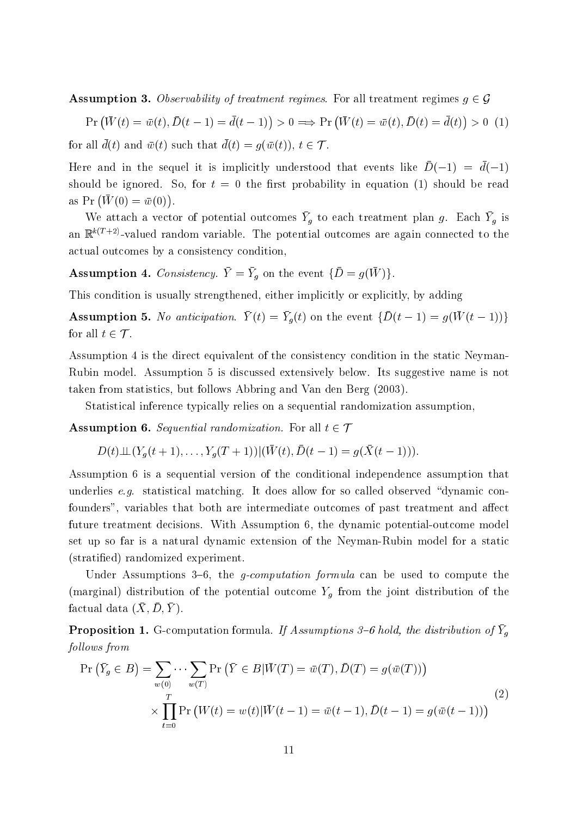**Assumption 3.** Observability of treatment regimes. For all treatment regimes  $g \in \mathcal{G}$ 

$$
\Pr\left(\bar{W}(t) = \bar{w}(t), \bar{D}(t-1) = \bar{d}(t-1)\right) > 0 \implies \Pr\left(\bar{W}(t) = \bar{w}(t), \bar{D}(t) = \bar{d}(t)\right) > 0 \tag{1}
$$
\n
$$
\text{for all } \bar{d}(t) \text{ and } \bar{w}(t) \text{ such that } \bar{d}(t) = q(\bar{w}(t)), \ t \in \mathcal{T}.
$$

Here and in the sequel it is implicitly understood that events like  $D(=1) = a(-1)$ should be ignored. So, for  $t = 0$  the first probability in equation (1) should be read as  $Pr(\bar{W}(0) = \bar{w}(0)).$ 

We attach a vector of potential outcomes  $I_g$  to each treatment plan  $g$ . Each  $I_g$  is an  $\mathbb{R}^{k(T+2)}$ -valued random variable. The potential outcomes are again connected to the actual outcomes by a consistency condition,

**Assumption 4.** Consistency.  $I = I_g$  on the event  $D = g(W)$ .

This condition is usually strengthened, either implicitly or explicitly, by adding

Assumption 5. The anticipation. T (t)  $= I_q(t)$  on the event  $\mathcal{D}(t=1) = g(r)(t+1)/f$ for all  $t \in \mathcal{T}$ .

Assumption 4 is the direct equivalent of the consistency condition in the static Neyman-Rubin model. Assumption 5 is discussed extensively below. Its suggestive name is not taken from statistics, but follows Abbring and Van den Berg (2003).

Statistical inference typically relies on a sequential randomization assumption,

**Assumption 6.** Sequential randomization. For all  $t \in \mathcal{T}$ 

$$
D(t)\perp (Y_g(t+1),\ldots,Y_g(T+1))|(W(t),D(t-1)=g(X(t-1))).
$$

Assumption 6 is a sequential version of the conditional independence assumption that underlies e.g. statistical matching. It does allow for so called observed "dynamic confounders", variables that both are intermediate outcomes of past treatment and affect future treatment decisions. With Assumption 6, the dynamic potential-outcome model set up so far is a natural dynamic extension of the Neyman-Rubin model for a static (stratied) randomized experiment.

Under Assumptions  $3-6$ , the *g-computation formula* can be used to compute the (marginal) distribution of the potential outcome  $Y_q$  from the joint distribution of the  $1$ actual data  $(X, D, I)$ .

**Proposition 1.** G-computation formula. If Assumptions 3-6 hold, the distribution of  $\overline{Y}_q$ graduate and the state of the state of the state of the state of the state of the state of the state of the state of the state of the state of the state of the state of the state of the state of the state of the state of t follows from

$$
\Pr\left(\bar{Y}_g \in B\right) = \sum_{w(0)} \cdots \sum_{w(T)} \Pr\left(\bar{Y} \in B | \bar{W}(T) = \bar{w}(T), \bar{D}(T) = g(\bar{w}(T))\right)
$$
\n
$$
\times \prod_{t=0}^T \Pr\left(W(t) = w(t) | \bar{W}(t-1) = \bar{w}(t-1), \bar{D}(t-1) = g(\bar{w}(t-1))\right)
$$
\n(2)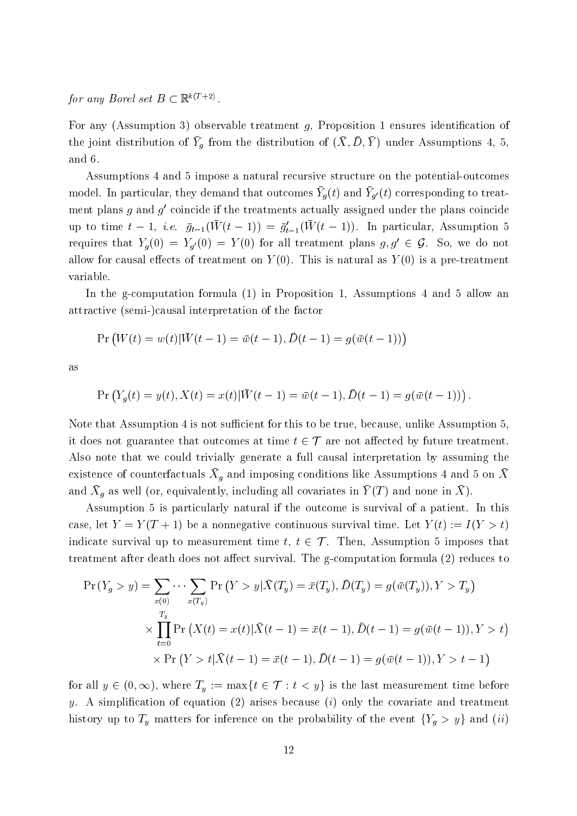for any Borel set  $B \subset \mathbb{R}^{k(T+2)}$ .

For any (Assumption 3) observable treatment  $g$ , Proposition 1 ensures identification of the joint distribution of  $T_g$  from the distribution of  $(X, D, I)$  under Assumptions 4, 5, and 6.

Assumptions 4 and 5 impose a natural recursive structure on the potential-outcomes model. In particular, they demand that outcomes  $T_{\theta}(t)$  and  $T_{\theta'}(t)$  corresponding to treat- $\min$  plans  $q$  and  $q$  -coincide if the treatments actually assigned under the plans coincide up to time  $t = 1$ , i.e.  $g_{t-1}(W(t-1)) = g_{t-1}(W(t-1))$ . In particular, Assumption 5 requires that  $Y_g(0) = Y_{g'}(0) = Y(0)$  for all treatment plans  $g, g' \in \mathcal{G}$ . So, we do not allow for causal effects of treatment on  $Y(0)$ . This is natural as  $Y(0)$  is a pre-treatment variable.

In the g-computation formula (1) in Proposition 1, Assumptions 4 and 5 allow an attractive (semi-)causal interpretation of the factor

$$
\Pr(W(t) = w(t) | \bar{W}(t-1) = \bar{w}(t-1), \bar{D}(t-1) = g(\bar{w}(t-1))
$$

$$
\Pr(Y_g(t) = y(t), X(t) = x(t) | \bar{W}(t-1) = \bar{w}(t-1), \bar{D}(t-1) = g(\bar{w}(t-1))).
$$

Note that Assumption 4 is not sufficient for this to be true, because, unlike Assumption 5. it does not guarantee that outcomes at time  $t \in \mathcal{T}$  are not affected by future treatment. Also note that we could trivially generate a full causal interpretation by assuming the existence of counterfactuals  $\Lambda_{\theta}$  and imposing conditions like Assumptions 4 and 5 on  $\Lambda$ and  $\Lambda_g$  as well (or, equivalently, including all covariates in T (T) and none in  $\Lambda$ ).

Assumption 5 is particularly natural if the outcome is survival of a patient. In this case, let  $Y = Y(T + 1)$  be a nonnegative continuous survival time. Let  $Y(t) := I(Y > t)$ indicate survival up to measurement time  $t, t \in \mathcal{T}$ . Then, Assumption 5 imposes that treatment after death does not affect survival. The g-computation formula  $(2)$  reduces to

$$
\Pr(Y_g > y) = \sum_{x(0)} \cdots \sum_{x(T_y)} \Pr(Y > y | \bar{X}(T_y) = \bar{x}(T_y), \bar{D}(T_y) = g(\bar{w}(T_y)), Y > T_y)
$$
\n
$$
\times \prod_{t=0}^{T_y} \Pr(X(t) = x(t) | \bar{X}(t-1) = \bar{x}(t-1), \bar{D}(t-1) = g(\bar{w}(t-1)), Y > t)
$$
\n
$$
\times \Pr(Y > t | \bar{X}(t-1) = \bar{x}(t-1), \bar{D}(t-1) = g(\bar{w}(t-1)), Y > t-1)
$$

for all  $y \in (0, \infty)$ , where  $T_y := \max\{t \in \mathcal{T} : t < y\}$  is the last measurement time before y. A simplification of equation  $(2)$  arises because  $(i)$  only the covariate and treatment history up to  $T_y$  matters for inference on the probability of the event  $\{Y_g > y\}$  and  $(ii)$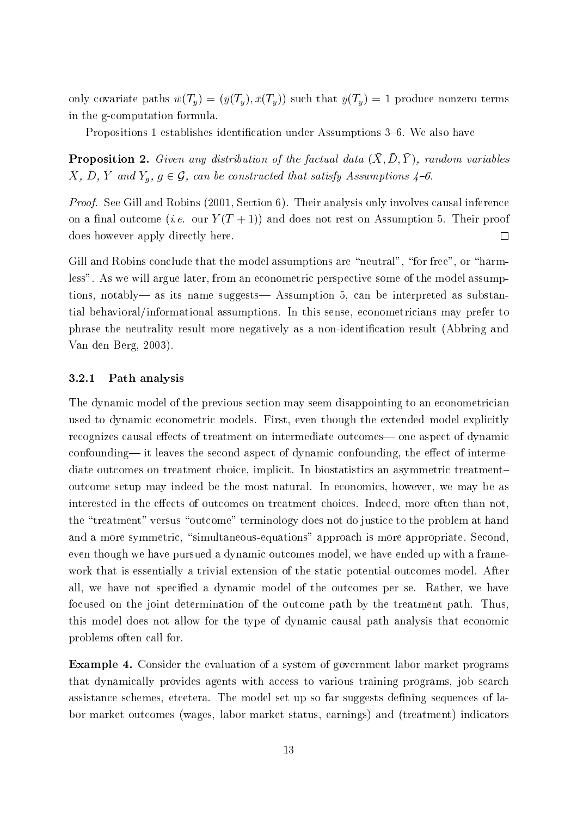only covariate paths  $\bar{w}(T_y) = (\bar{y}(T_y), \bar{x}(T_y))$  such that  $\bar{y}(T_y) = 1$  produce nonzero terms in the g-computation formula.

Propositions 1 establishes identification under Assumptions 3-6. We also have

**r** roposition 2. Given any abstration of the factual data  $(X, D, I)$ , random variables  $\Lambda$ ,  $D$ ,  $I$  and  $I_q$ ,  $q \in \mathcal{G}$ , can be constructed that satisfy Assumptions  $4\degree$ 0.

Proof. See Gill and Robins (2001, Section 6). Their analysis only involves causal inference on a final outcome (*i.e.* our  $Y(T + 1)$ ) and does not rest on Assumption 5. Their proof does however apply directly here.  $\Box$ 

Gill and Robins conclude that the model assumptions are "neutral", "for free", or "harmless". As we will argue later, from an econometric perspective some of the model assumptions, notably— as its name suggests— Assumption 5, can be interpreted as substantial behavioral/informational assumptions. In this sense, econometricians may prefer to phrase the neutrality result more negatively as a non-identication result (Abbring and Van den Berg, 2003).

#### 3.2.1 Path analysis

The dynamic model of the previous section may seem disappointing to an econometrician used to dynamic econometric models. First, even though the extended model explicitly recognizes causal effects of treatment on intermediate outcomes— one aspect of dynamic confounding— it leaves the second aspect of dynamic confounding, the effect of intermediate outcomes on treatment choice, implicit. In biostatistics an asymmetric treatmentoutcome setup may indeed be the most natural. In economics, however, we may be as interested in the effects of outcomes on treatment choices. Indeed, more often than not. the "treatment" versus "outcome" terminology does not do justice to the problem at hand and a more symmetric, "simultaneous-equations" approach is more appropriate. Second, even though we have pursued a dynamic outcomes model, we have ended up with a framework that is essentially a trivial extension of the static potential-outcomes model. After all, we have not specied a dynamic model of the outcomes per se. Rather, we have focused on the joint determination of the outcome path by the treatment path. Thus, this model does not allow for the type of dynamic causal path analysis that economic problems often call for.

Example 4. Consider the evaluation of a system of government labor market programs that dynamically provides agents with access to various training programs, job search assistance schemes, etcetera. The model set up so far suggests defining sequences of labor market outcomes (wages, labor market status, earnings) and (treatment) indicators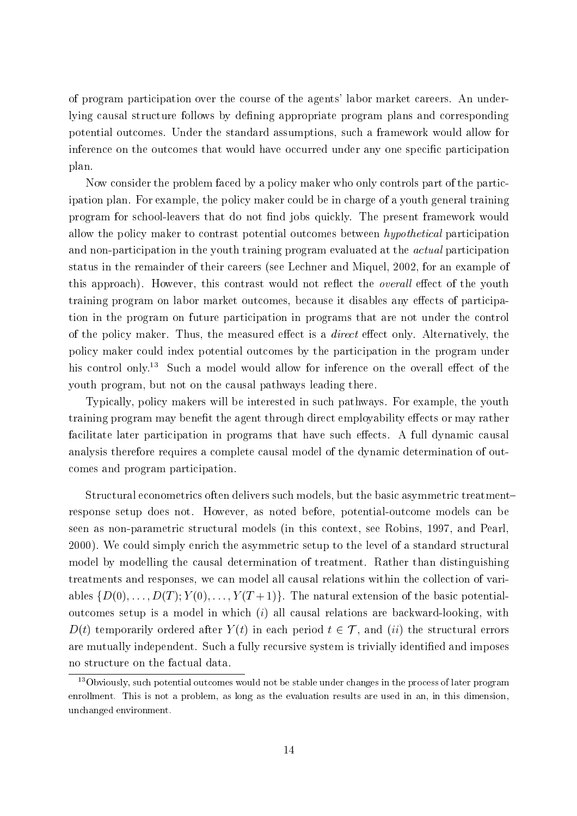of program participation over the course of the agents' labor market careers. An underlying causal structure follows by defining appropriate program plans and corresponding potential outcomes. Under the standard assumptions, such a framework would allow for inference on the outcomes that would have occurred under any one specic participation plan.

Now consider the problem faced by a policy maker who only controls part of the participation plan. For example, the policy maker could be in charge of a youth general training program for school-leavers that do not find jobs quickly. The present framework would allow the policy maker to contrast potential outcomes between *hypothetical* participation and non-participation in the youth training program evaluated at the *actual* participation status in the remainder of their careers (see Lechner and Miquel, 2002, for an example of this approach). However, this contrast would not reflect the *overall* effect of the youth training program on labor market outcomes, because it disables any effects of participation in the program on future participation in programs that are not under the control of the policy maker. Thus, the measured effect is a *direct* effect only. Alternatively, the policy maker could index potential outcomes by the participation in the program under his control only.<sup>13</sup> Such a model would allow for inference on the overall effect of the youth program, but not on the causal pathways leading there.

Typically, policy makers will be interested in such pathways. For example, the youth training program may benefit the agent through direct employability effects or may rather facilitate later participation in programs that have such effects. A full dynamic causal analysis therefore requires a complete causal model of the dynamic determination of outcomes and program participation.

Structural econometrics often delivers such models, but the basic asymmetric treatment{ response setup does not. However, as noted before, potential-outcome models can be seen as non-parametric structural models (in this context, see Robins, 1997, and Pearl, 2000). We could simply enrich the asymmetric setup to the level of a standard structural model by modelling the causal determination of treatment. Rather than distinguishing treatments and responses, we can model all causal relations within the collection of variables  $\{D(0),...,D(T); Y(0),...,Y(T+1)\}\$ . The natural extension of the basic potentialoutcomes setup is a model in which  $(i)$  all causal relations are backward-looking, with  $D(t)$  temporarily ordered after  $Y(t)$  in each period  $t \in \mathcal{T}$ , and (ii) the structural errors are mutually independent. Such a fully recursive system is trivially identified and imposes no structure on the factual data.

<sup>&</sup>lt;sup>13</sup>Obviously, such potential outcomes would not be stable under changes in the process of later program enrollment. This is not a problem, as long as the evaluation results are used in an, in this dimension, unchanged environment.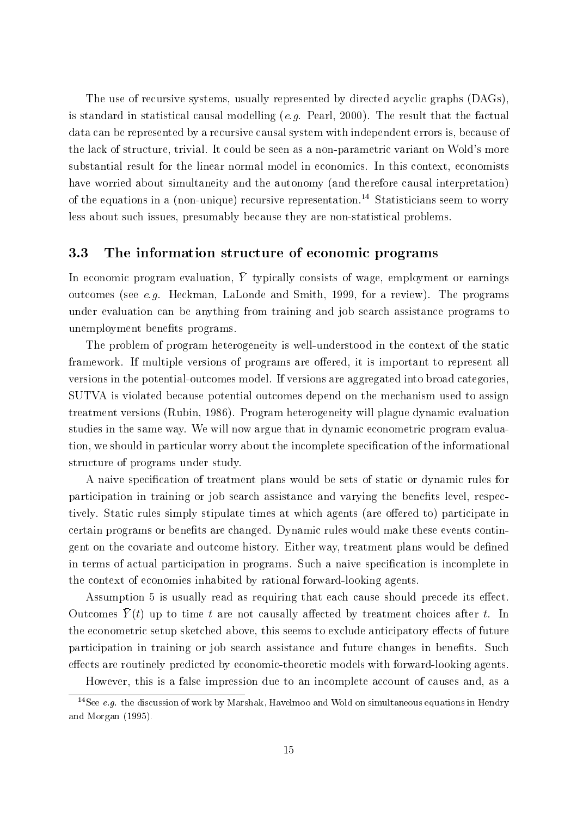The use of recursive systems, usually represented by directed acyclic graphs (DAGs), is standard in statistical causal modelling (e.g. Pearl, 2000). The result that the factual data can be represented by a recursive causal system with independent errors is, because of the lack of structure, trivial. It could be seen as a non-parametric variant on Wold's more substantial result for the linear normal model in economics. In this context, economists have worried about simultaneity and the autonomy (and therefore causal interpretation) of the equations in a (non-unique) recursive representation.<sup>14</sup> Statisticians seem to worry less about such issues, presumably because they are non-statistical problems.

#### 3.3 The information structure of economic programs

In economic program evaluation, Y typically consists of wage, employment or earnings outcomes (see e.g. Heckman, LaLonde and Smith, 1999, for a review). The programs under evaluation can be anything from training and job search assistance programs to unemployment benefits programs.

The problem of program heterogeneity is well-understood in the context of the static framework. If multiple versions of programs are offered, it is important to represent all versions in the potential-outcomes model. If versions are aggregated into broad categories, SUTVA is violated because potential outcomes depend on the mechanism used to assign treatment versions (Rubin, 1986). Program heterogeneity will plague dynamic evaluation studies in the same way. We will now argue that in dynamic econometric program evaluation, we should in particular worry about the incomplete specication of the informational structure of programs under study.

A naive specication of treatment plans would be sets of static or dynamic rules for participation in training or job search assistance and varying the benets level, respectively. Static rules simply stipulate times at which agents (are offered to) participate in certain programs or benefits are changed. Dynamic rules would make these events contingent on the covariate and outcome history. Either way, treatment plans would be defined in terms of actual participation in programs. Such a naive specication is incomplete in the context of economies inhabited by rational forward-looking agents.

Assumption 5 is usually read as requiring that each cause should precede its effect. Outcomes  $I$  (t) up to time t are not causally allected by treatment choices after t. In the econometric setup sketched above, this seems to exclude anticipatory effects of future participation in training or job search assistance and future changes in benefits. Such effects are routinely predicted by economic-theoretic models with forward-looking agents.

However, this is a false impression due to an incomplete account of causes and, as a

 $14$ See e.g. the discussion of work by Marshak, Havelmoo and Wold on simultaneous equations in Hendry and Morgan (1995).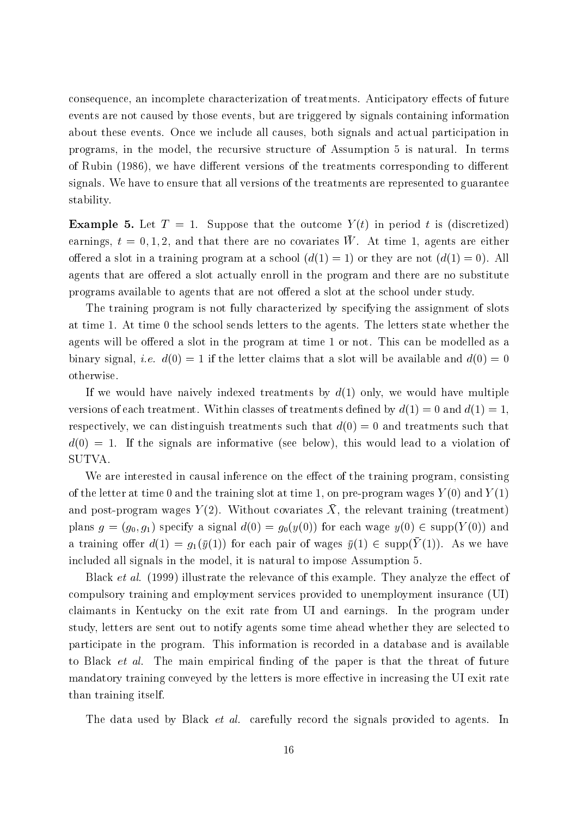consequence, an incomplete characterization of treatments. Anticipatory effects of future events are not caused by those events, but are triggered by signals containing information about these events. Once we include all causes, both signals and actual participation in programs, in the model, the recursive structure of Assumption 5 is natural. In terms of Rubin (1986), we have different versions of the treatments corresponding to different signals. We have to ensure that all versions of the treatments are represented to guarantee stability.

**Example 5.** Let  $T = 1$ . Suppose that the outcome  $Y(t)$  in period t is (discretized)  $\alpha$  and  $\alpha$ ,  $\alpha$  is the contract of the contraction of  $\alpha$  is the  $\alpha$  and  $\alpha$  are either offered a slot in a training program at a school  $(d(1) = 1)$  or they are not  $(d(1) = 0)$ . All agents that are offered a slot actually enroll in the program and there are no substitute programs available to agents that are not offered a slot at the school under study.

The training program is not fully characterized by specifying the assignment of slots at time 1. At time 0 the school sends letters to the agents. The letters state whether the agents will be offered a slot in the program at time 1 or not. This can be modelled as a binary signal, *i.e.*  $d(0) = 1$  if the letter claims that a slot will be available and  $d(0) = 0$ otherwise.

If we would have naively indexed treatments by  $d(1)$  only, we would have multiple versions of each treatment. Within classes of treatments defined by  $d(1) = 0$  and  $d(1) = 1$ . respectively, we can distinguish treatments such that  $d(0) = 0$  and treatments such that  $d(0) = 1$ . If the signals are informative (see below), this would lead to a violation of SUTVA.

We are interested in causal inference on the effect of the training program, consisting of the letter at time 0 and the training slot at time 1, on pre-program wages  $Y(0)$  and  $Y(1)$ and post-program wages  $I\left(2\right)$ . Without covariates  $A$ , the relevant training (treatment) plans  $g = (g_0, g_1)$  specify a signal  $d(0) = g_0(y(0))$  for each wage  $y(0) \in \text{supp}(Y(0))$  and a training oner  $u(1) = y_1(y(1))$  for each pair or wages  $y(1) \in supp(T(1))$ . As we have included all signals in the model, it is natural to impose Assumption 5.

Black *et al.* (1999) illustrate the relevance of this example. They analyze the effect of compulsory training and employment services provided to unemployment insurance (UI) claimants in Kentucky on the exit rate from UI and earnings. In the program under study, letters are sent out to notify agents some time ahead whether they are selected to participate in the program. This information is recorded in a database and is available to Black *et al.* The main empirical finding of the paper is that the threat of future mandatory training conveyed by the letters is more effective in increasing the UI exit rate than training itself.

The data used by Black *et al.* carefully record the signals provided to agents. In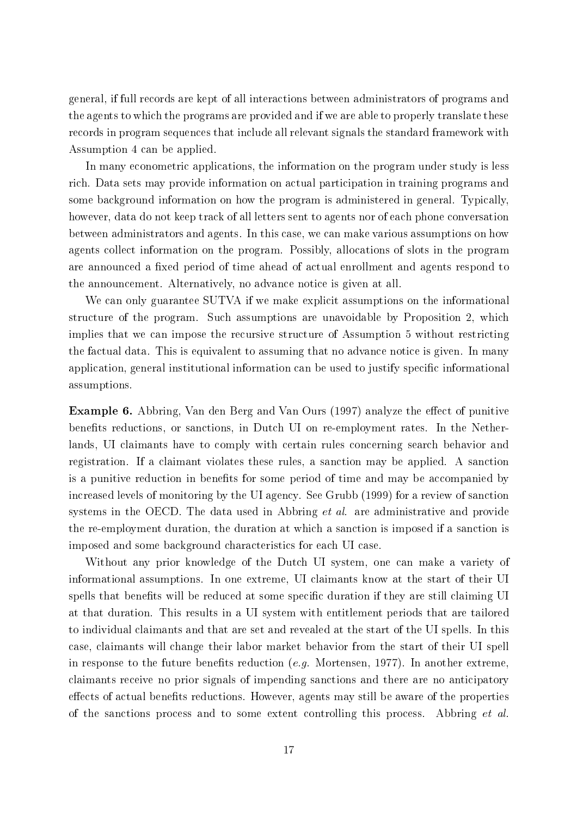general, if full records are kept of all interactions between administrators of programs and the agents to which the programs are provided and if we are able to properly translate these records in program sequences that include all relevant signals the standard framework with Assumption 4 can be applied.

In many econometric applications, the information on the program under study is less rich. Data sets may provide information on actual participation in training programs and some background information on how the program is administered in general. Typically, however, data do not keep track of all letters sent to agents nor of each phone conversation between administrators and agents. In this case, we can make various assumptions on how agents collect information on the program. Possibly, allocations of slots in the program are announced a fixed period of time ahead of actual enrollment and agents respond to the announcement. Alternatively, no advance notice is given at all.

We can only guarantee SUTVA if we make explicit assumptions on the informational structure of the program. Such assumptions are unavoidable by Proposition 2, which implies that we can impose the recursive structure of Assumption 5 without restricting the factual data. This is equivalent to assuming that no advance notice is given. In many application, general institutional information can be used to justify specific informational assumptions.

**Example 6.** Abbring, Van den Berg and Van Ours (1997) analyze the effect of punitive benets reductions, or sanctions, in Dutch UI on re-employment rates. In the Netherlands, UI claimants have to comply with certain rules concerning search behavior and registration. If a claimant violates these rules, a sanction may be applied. A sanction is a punitive reduction in benets for some period of time and may be accompanied by increased levels of monitoring by the UI agency. See Grubb (1999) for a review of sanction systems in the OECD. The data used in Abbring *et al.* are administrative and provide the re-employment duration, the duration at which a sanction is imposed if a sanction is imposed and some background characteristics for each UI case.

Without any prior knowledge of the Dutch UI system, one can make a variety of informational assumptions. In one extreme, UI claimants know at the start of their UI spells that benefits will be reduced at some specific duration if they are still claiming UI at that duration. This results in a UI system with entitlement periods that are tailored to individual claimants and that are set and revealed at the start of the UI spells. In this case, claimants will change their labor market behavior from the start of their UI spell in response to the future benefits reduction (e.g. Mortensen, 1977). In another extreme, claimants receive no prior signals of impending sanctions and there are no anticipatory effects of actual benefits reductions. However, agents may still be aware of the properties of the sanctions process and to some extent controlling this process. Abbring *et al.*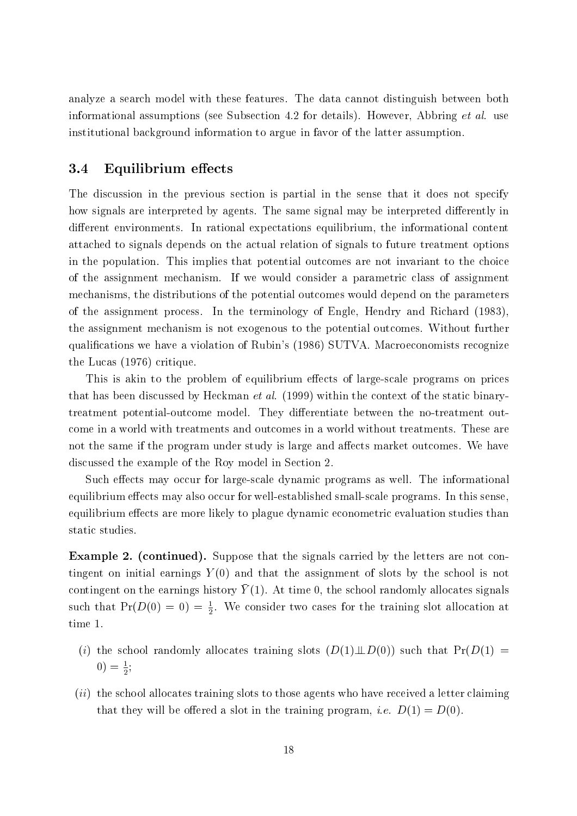analyze a search model with these features. The data cannot distinguish between both informational assumptions (see Subsection 4.2 for details). However, Abbring et al. use institutional background information to argue in favor of the latter assumption.

#### 3.4 Equilibrium effects

The discussion in the previous section is partial in the sense that it does not specify how signals are interpreted by agents. The same signal may be interpreted differently in different environments. In rational expectations equilibrium, the informational content attached to signals depends on the actual relation of signals to future treatment options in the population. This implies that potential outcomes are not invariant to the choice of the assignment mechanism. If we would consider a parametric class of assignment mechanisms, the distributions of the potential outcomes would depend on the parameters of the assignment process. In the terminology of Engle, Hendry and Richard (1983), the assignment mechanism is not exogenous to the potential outcomes. Without further qualications we have a violation of Rubin's (1986) SUTVA. Macroeconomists recognize the Lucas (1976) critique.

This is akin to the problem of equilibrium effects of large-scale programs on prices that has been discussed by Heckman *et al.* (1999) within the context of the static binarytreatment potential-outcome model. They differentiate between the no-treatment outcome in a world with treatments and outcomes in a world without treatments. These are not the same if the program under study is large and affects market outcomes. We have discussed the example of the Roy model in Section 2.

Such effects may occur for large-scale dynamic programs as well. The informational equilibrium effects may also occur for well-established small-scale programs. In this sense, equilibrium effects are more likely to plague dynamic econometric evaluation studies than static studies.

Example 2. (continued). Suppose that the signals carried by the letters are not contingent on initial earnings  $Y(0)$  and that the assignment of slots by the school is not  $\alpha$  contingent on the earnings mistory  $T$  (T). At time 0, the school randomly anotates signals such that  $\Pr(D(0) = 0) = \frac{1}{2}$ , we consider two cases for the training slot allocation at time 1.

- (i) the school randomly allocates training slots  $(D(1) \perp D(0))$  such that  $Pr(D(1) =$  $0) = \frac{1}{2}$
- $(ii)$  the school allocates training slots to those agents who have received a letter claiming that they will be offered a slot in the training program, *i.e.*  $D(1) = D(0)$ .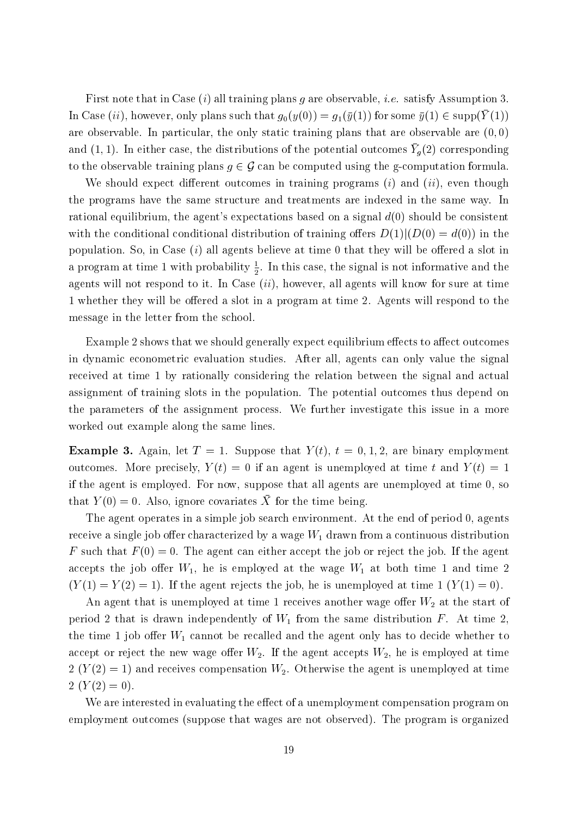First note that in Case (i) all training plans g are observable, *i.e.* satisfy Assumption 3. In Case  $(u)$ , however, only plans such that  $g_0(y(0)) = g_1(y(1))$  for some  $g(1) \in supp(1/(1))$ are observable. In particular, the only static training plans that are observable are  $(0,0)$ and  $(1,1)$ . In either case, the distributions of the potential outcomes  $T_g(2)$  corresponding to the observable training plans  $g \in \mathcal{G}$  can be computed using the g-computation formula.

We should expect different outcomes in training programs  $(i)$  and  $(ii)$ , even though the programs have the same structure and treatments are indexed in the same way. In rational equilibrium, the agent's expectations based on a signal  $d(0)$  should be consistent with the conditional conditional distribution of training offers  $D(1)|(D(0) = d(0))$  in the population. So, in Case  $(i)$  all agents believe at time 0 that they will be offered a slot in a program at time 1 with probability  $\frac{1}{2}$ . In this case, the signal is not informative and the agents will not respond to it. In Case  $(ii)$ , however, all agents will know for sure at time 1 whether they will be offered a slot in a program at time 2. Agents will respond to the message in the letter from the school.

Example 2 shows that we should generally expect equilibrium effects to affect outcomes in dynamic econometric evaluation studies. After all, agents can only value the signal received at time 1 by rationally considering the relation between the signal and actual assignment of training slots in the population. The potential outcomes thus depend on the parameters of the assignment process. We further investigate this issue in a more worked out example along the same lines.

**Example 3.** Again, let  $T = 1$ . Suppose that  $Y(t)$ ,  $t = 0, 1, 2$ , are binary employment outcomes. More precisely,  $Y(t) = 0$  if an agent is unemployed at time t and  $Y(t) = 1$ if the agent is employed. For now, suppose that all agents are unemployed at time 0, so  $\lim_{\alpha \to \infty}$   $I(\alpha) = 0$ . Also, ignore covariates A for the time being.

The agent operates in a simple job search environment. At the end of period 0, agents receive a single job offer characterized by a wage  $W_1$  drawn from a continuous distribution F such that  $F(0) = 0$ . The agent can either accept the job or reject the job. If the agent accepts the job offer  $W_1$ , he is employed at the wage  $W_1$  at both time 1 and time 2  $(Y(1) = Y(2) = 1)$ . If the agent rejects the job, he is unemployed at time 1  $(Y(1) = 0)$ .

An agent that is unemployed at time 1 receives another wage offer  $W_2$  at the start of period 2 that is drawn independently of  $W_1$  from the same distribution F. At time 2, the time 1 job offer  $W_1$  cannot be recalled and the agent only has to decide whether to accept or reject the new wage offer  $W_2$ . If the agent accepts  $W_2$ , he is employed at time  $2(Y(2) = 1)$  and receives compensation  $W_2$ . Otherwise the agent is unemployed at time  $2(Y(2)=0).$ 

We are interested in evaluating the effect of a unemployment compensation program on employment outcomes (suppose that wages are not observed). The program is organized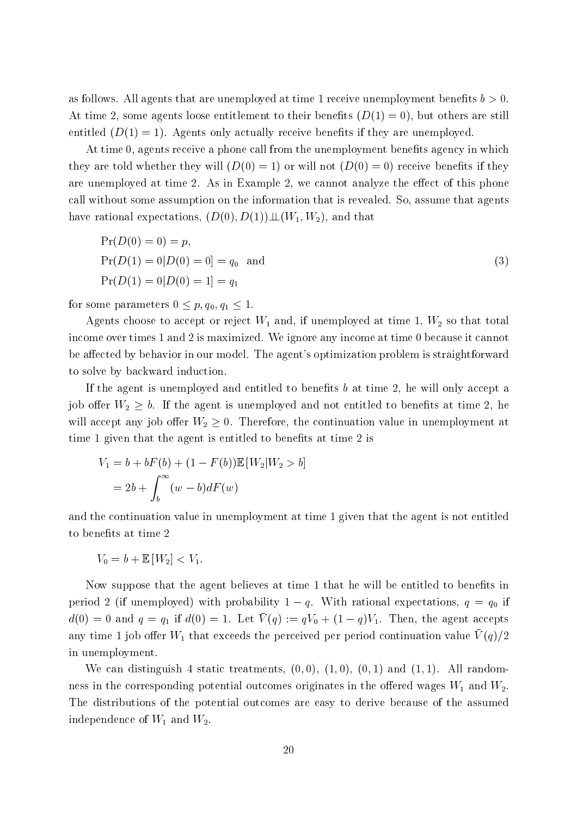as follows. All agents that are unemployed at time 1 receive unemployment benefits  $b > 0$ . At time 2, some agents loose entitlement to their benefits  $(D(1) = 0)$ , but others are still entitled  $(D(1) = 1)$ . Agents only actually receive benefits if they are unemployed.

At time 0, agents receive a phone call from the unemployment benefits agency in which they are told whether they will  $(D(0) = 1)$  or will not  $(D(0) = 0)$  receive benefits if they are unemployed at time 2. As in Example 2, we cannot analyze the effect of this phone call without some assumption on the information that is revealed. So, assume that agents have rational expectations,  $(D(0), D(1)) \perp (W_1, W_2)$ , and that

$$
Pr(D(0) = 0) = p,
$$
  
\n
$$
Pr(D(1) = 0|D(0) = 0] = q_0
$$
 and  
\n
$$
Pr(D(1) = 0|D(0) = 1] = q_1
$$
\n(3)

for some parameters  $0 \leq p, q_0, q_1 \leq 1$ .

Agents choose to accept or reject  $W_1$  and, if unemployed at time 1,  $W_2$  so that total income over times 1 and 2 is maximized. We ignore any income at time 0 because it cannot be affected by behavior in our model. The agent's optimization problem is straightforward to solve by backward induction.

If the agent is unemployed and entitled to benefits  $b$  at time 2, he will only accept a job offer  $W_2 \geq b$ . If the agent is unemployed and not entitled to benefits at time 2, he will accept any job offer  $W_2 \geq 0$ . Therefore, the continuation value in unemployment at time 1 given that the agent is entitled to benefits at time 2 is

$$
V_1 = b + bF(b) + (1 - F(b))\mathbb{E}[W_2|W_2 > b]
$$

$$
= 2b + \int_b^{\infty} (w - b)dF(w)
$$

and the continuation value in unemployment at time 1 given that the agent is not entitled to benefits at time 2

$$
V_0=b+\mathbb{E}[W_2]
$$

Now suppose that the agent believes at time 1 that he will be entitled to benefits in period 2 (if unemployed) with probability  $1 - q$ . With rational expectations,  $q = q_0$  if  $\alpha(0) = 0$  and  $q = q_1$  if  $\alpha(0) = 1$ . Let  $V(q) := qV_0 + (1 - q)V_1$ . Then, the agent accepts any time 1 job oner  $W_1$  that exceeds the perceived per period continuation value  $V(q)/2$ in unemployment.

We can distinguish 4 static treatments,  $(0,0)$ ,  $(1,0)$ ,  $(0,1)$  and  $(1,1)$ . All randomness in the corresponding potential outcomes originates in the offered wages  $W_1$  and  $W_2$ . The distributions of the potential outcomes are easy to derive because of the assumed independence of  $W_1$  and  $W_2$ .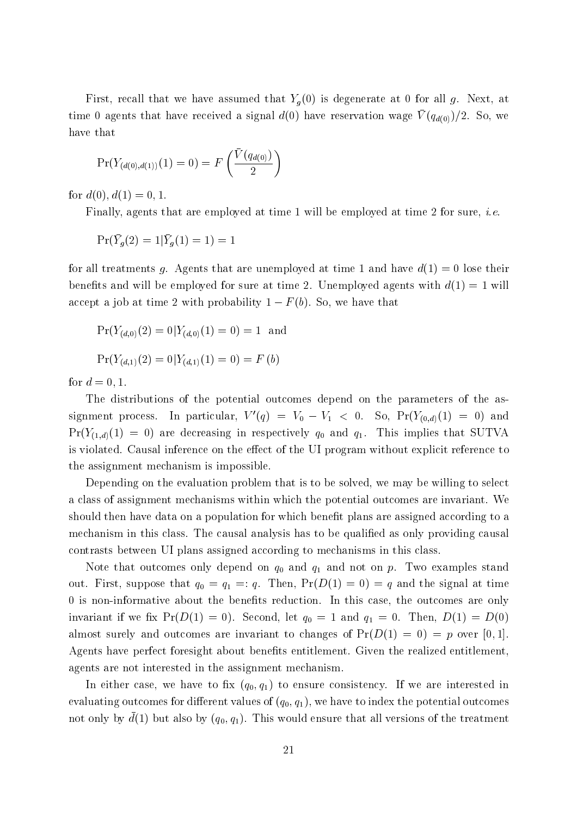First, recall that we have assumed that  $Y_q(0)$  is degenerate at 0 for all g. Next, at time o agents that have received a signal  $u(0)$  have reservation wage  $v(4d(0))/2$ . So, we have that

$$
\Pr(Y_{(d(0),d(1))}(1) = 0) = F\left(\frac{\bar{V}(q_{d(0)})}{2}\right)
$$

for  $d(0), d(1) = 0, 1$ .

Finally, agents that are employed at time 1 will be employed at time 2 for sure, i.e.

$$
\Pr(Y_g(2) = 1 | Y_g(1) = 1) = 1
$$

for all treatments g. Agents that are unemployed at time 1 and have  $d(1) = 0$  lose their benefits and will be employed for sure at time 2. Unemployed agents with  $d(1) = 1$  will accept a job at time 2 with probability  $1 - F(b)$ . So, we have that

$$
Pr(Y_{(d,0)}(2) = 0 | Y_{(d,0)}(1) = 0) = 1
$$
 and  

$$
Pr(Y_{(d,1)}(2) = 0 | Y_{(d,1)}(1) = 0) = F (b)
$$

for  $d = 0, 1$ .

The distributions of the potential outcomes depend on the parameters of the assignment process. In particular,  $V'(q) = V_0 - V_1 < 0$ . So,  $Pr(Y_{(0,d)}(1) = 0)$  and  $Pr(Y_{(1,d)}(1) = 0)$  are decreasing in respectively  $q_0$  and  $q_1$ . This implies that SUTVA is violated. Causal inference on the effect of the UI program without explicit reference to the assignment mechanism is impossible.

Depending on the evaluation problem that is to be solved, we may be willing to select a class of assignment mechanisms within which the potential outcomes are invariant. We should then have data on a population for which benet plans are assigned according to a mechanism in this class. The causal analysis has to be qualified as only providing causal contrasts between UI plans assigned according to mechanisms in this class.

Note that outcomes only depend on  $q_0$  and  $q_1$  and not on p. Two examples stand out. First, suppose that  $q_0 = q_1 =: q$ . Then,  $Pr(D(1) = 0) = q$  and the signal at time 0 is non-informative about the benefits reduction. In this case, the outcomes are only invariant if we fix  $Pr(D(1) = 0)$ . Second, let  $q_0 = 1$  and  $q_1 = 0$ . Then,  $D(1) = D(0)$ almost surely and outcomes are invariant to changes of  $Pr(D(1) = 0) = p$  over [0, 1]. Agents have perfect foresight about benefits entitlement. Given the realized entitlement, agents are not interested in the assignment mechanism.

In either case, we have to fix  $(q_0, q_1)$  to ensure consistency. If we are interested in evaluating outcomes for different values of  $(q_0, q_1)$ , we have to index the potential outcomes not only by  $d(1)$  but also by  $(q_0, q_1)$ . This would ensure that all versions of the treatment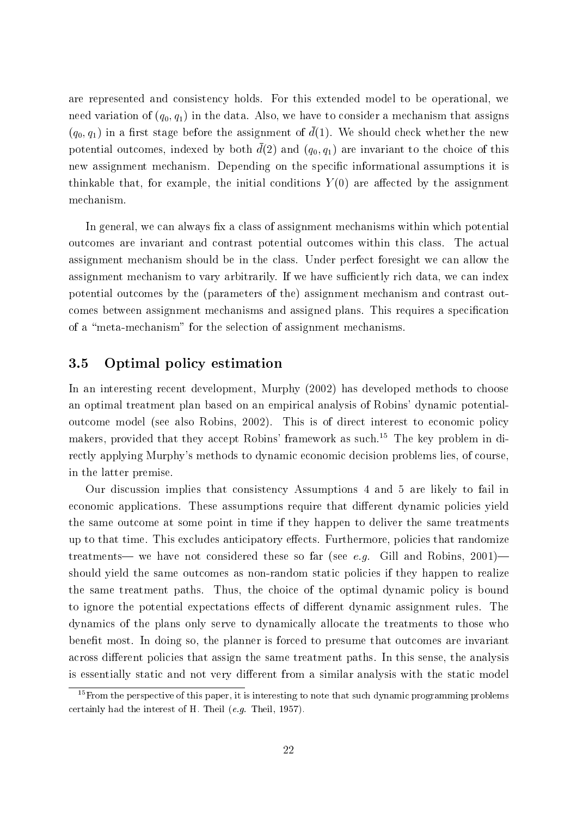are represented and consistency holds. For this extended model to be operational, we need variation of  $(q_0, q_1)$  in the data. Also, we have to consider a mechanism that assigns  $(q_0, q_1)$  in a first stage before the assignment of  $d(1)$ . We should check whether the new potential outcomes, indexed by both  $d(2)$  and  $(q_0, q_1)$  are invariant to the choice of this new assignment mechanism. Depending on the specific informational assumptions it is thinkable that, for example, the initial conditions  $Y(0)$  are affected by the assignment mechanism.

In general, we can always fix a class of assignment mechanisms within which potential outcomes are invariant and contrast potential outcomes within this class. The actual assignment mechanism should be in the class. Under perfect foresight we can allow the assignment mechanism to vary arbitrarily. If we have sufficiently rich data, we can index potential outcomes by the (parameters of the) assignment mechanism and contrast outcomes between assignment mechanisms and assigned plans. This requires a specification of a "meta-mechanism" for the selection of assignment mechanisms.

#### 3.5 Optimal policy estimation

In an interesting recent development, Murphy (2002) has developed methods to choose an optimal treatment plan based on an empirical analysis of Robins' dynamic potentialoutcome model (see also Robins, 2002). This is of direct interest to economic policy makers, provided that they accept Robins' framework as such.15 The key problem in directly applying Murphy's methods to dynamic economic decision problems lies, of course, in the latter premise.

Our discussion implies that consistency Assumptions 4 and 5 are likely to fail in economic applications. These assumptions require that different dynamic policies yield the same outcome at some point in time if they happen to deliver the same treatments up to that time. This excludes anticipatory effects. Furthermore, policies that randomize treatments— we have not considered these so far (see e.g. Gill and Robins,  $2001$ ) should yield the same outcomes as non-random static policies if they happen to realize the same treatment paths. Thus, the choice of the optimal dynamic policy is bound to ignore the potential expectations effects of different dynamic assignment rules. The dynamics of the plans only serve to dynamically allocate the treatments to those who benet most. In doing so, the planner is forced to presume that outcomes are invariant across different policies that assign the same treatment paths. In this sense, the analysis is essentially static and not very different from a similar analysis with the static model

 $15$  From the perspective of this paper, it is interesting to note that such dynamic programming problems certainly had the interest of H. Theil (e.g. Theil, 1957).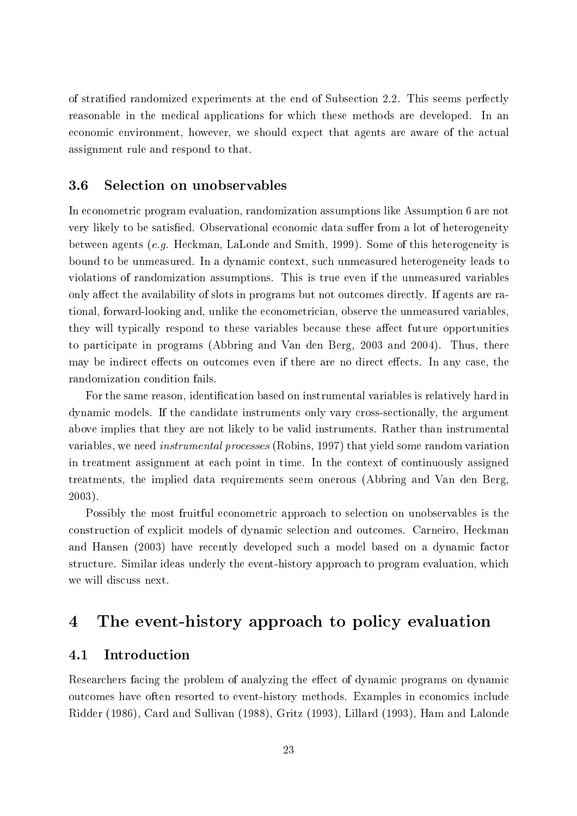of stratied randomized experiments at the end of Subsection 2.2. This seems perfectly reasonable in the medical applications for which these methods are developed. In an economic environment, however, we should expect that agents are aware of the actual assignment rule and respond to that.

#### 3.6 Selection on unobservables

In econometric program evaluation, randomization assumptions like Assumption 6 are not very likely to be satisfied. Observational economic data suffer from a lot of heterogeneity between agents (e.g. Heckman, LaLonde and Smith, 1999). Some of this heterogeneity is bound to be unmeasured. In a dynamic context, such unmeasured heterogeneity leads to violations of randomization assumptions. This is true even if the unmeasured variables only affect the availability of slots in programs but not outcomes directly. If agents are rational, forward-looking and, unlike the econometrician, observe the unmeasured variables, they will typically respond to these variables because these affect future opportunities to participate in programs (Abbring and Van den Berg, 2003 and 2004). Thus, there may be indirect effects on outcomes even if there are no direct effects. In any case, the randomization condition fails.

For the same reason, identication based on instrumental variables is relatively hard in dynamic models. If the candidate instruments only vary cross-sectionally, the argument above implies that they are not likely to be valid instruments. Rather than instrumental variables, we need instrumental processes (Robins, 1997) that yield some random variation in treatment assignment at each point in time. In the context of continuously assigned treatments, the implied data requirements seem onerous (Abbring and Van den Berg, 2003).

Possibly the most fruitful econometric approach to selection on unobservables is the construction of explicit models of dynamic selection and outcomes. Carneiro, Heckman and Hansen (2003) have recently developed such a model based on a dynamic factor structure. Similar ideas underly the event-history approach to program evaluation, which we will discuss next.

## 4 The event-history approach to policy evaluation

#### 4.1 Introduction

Researchers facing the problem of analyzing the effect of dynamic programs on dynamic outcomes have often resorted to event-history methods. Examples in economics include Ridder (1986), Card and Sullivan (1988), Gritz (1993), Lillard (1993), Ham and Lalonde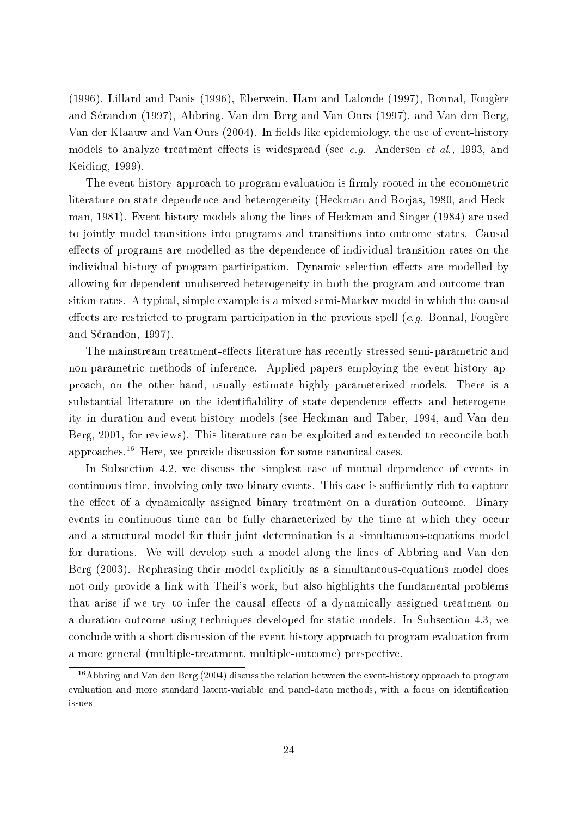(1996), Lillard and Panis (1996), Eberwein, Ham and Lalonde (1997), Bonnal, Fougere and Serandon (1997), Abbring, Van den Berg and Van Ours (1997), and Van den Berg, Van der Klaauw and Van Ours (2004). In fields like epidemiology, the use of event-history models to analyze treatment effects is widespread (see e.g. Andersen et al., 1993, and Keiding, 1999).

The event-history approach to program evaluation is firmly rooted in the econometric literature on state-dependence and heterogeneity (Heckman and Borjas, 1980, and Heckman, 1981). Event-history models along the lines of Heckman and Singer (1984) are used to jointly model transitions into programs and transitions into outcome states. Causal effects of programs are modelled as the dependence of individual transition rates on the individual history of program participation. Dynamic selection effects are modelled by allowing for dependent unobserved heterogeneity in both the program and outcome transition rates. A typical, simple example is a mixed semi-Markov model in which the causal effects are restricted to program participation in the previous spell  $(e, q)$ . Bonnal, Fougère and Sérandon, 1997).

The mainstream treatment-effects literature has recently stressed semi-parametric and non-parametric methods of inference. Applied papers employing the event-history approach, on the other hand, usually estimate highly parameterized models. There is a substantial literature on the identifiability of state-dependence effects and heterogeneity in duration and event-history models (see Heckman and Taber, 1994, and Van den Berg, 2001, for reviews). This literature can be exploited and extended to reconcile both approaches.<sup>16</sup> Here, we provide discussion for some canonical cases.

In Subsection 4.2, we discuss the simplest case of mutual dependence of events in continuous time, involving only two binary events. This case is sufficiently rich to capture the effect of a dynamically assigned binary treatment on a duration outcome. Binary events in continuous time can be fully characterized by the time at which they occur and a structural model for their joint determination is a simultaneous-equations model for durations. We will develop such a model along the lines of Abbring and Van den Berg (2003). Rephrasing their model explicitly as a simultaneous-equations model does not only provide a link with Theil's work, but also highlights the fundamental problems that arise if we try to infer the causal effects of a dynamically assigned treatment on a duration outcome using techniques developed for static models. In Subsection 4.3, we conclude with a short discussion of the event-history approach to program evaluation from a more general (multiple-treatment, multiple-outcome) perspective.

<sup>&</sup>lt;sup>16</sup>Abbring and Van den Berg (2004) discuss the relation between the event-history approach to program evaluation and more standard latent-variable and panel-data methods, with a focus on identication issues.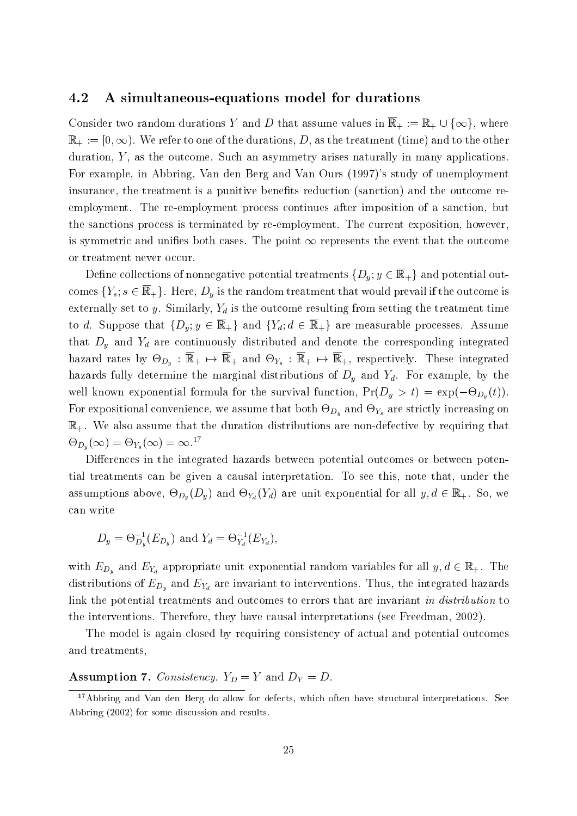#### 4.2 A simultaneous-equations model for durations

Consider two random durations <sup>Y</sup> and <sup>D</sup> that assume values in <sup>R</sup> <sup>+</sup> := R+ [ f1g, where  $\mathbb{R}_+ := [0, \infty)$ . We refer to one of the durations, D, as the treatment (time) and to the other duration,  $Y$ , as the outcome. Such an asymmetry arises naturally in many applications. For example, in Abbring, Van den Berg and Van Ours (1997)'s study of unemployment insurance, the treatment is a punitive benefits reduction (sanction) and the outcome reemployment. The re-employment process continues after imposition of a sanction, but the sanctions process is terminated by re-employment. The current exposition, however, is symmetric and unifies both cases. The point  $\infty$  represents the event that the outcome or treatment never occur.

Define collections of nonnegative potential treatments  $\{D_u; y \in \overline{\mathbb{R}}_+\}$  and potential outcomes  ${Y_s; s \in \overline{\mathbb{R}}_+}$ . Here,  $D_y$  is the random treatment that would prevail if the outcome is externally set to y. Similarly,  $Y_d$  is the outcome resulting from setting the treatment time to d. Suppose that  $\{D_u; v \in \overline{\mathbb{R}}_+\}$  and  $\{Y_d; d \in \overline{\mathbb{R}}_+\}$  are measurable processes. Assume that  $D_y$  and  $Y_d$  are continuously distributed and denote the corresponding integrated hazard rates by -Dy : <sup>R</sup> <sup>+</sup> 7! <sup>R</sup> <sup>+</sup> and -Ys : <sup>R</sup> <sup>+</sup> 7! <sup>R</sup> <sup>+</sup>, respectively. These integrated hazards fully determine the marginal distributions of  $D<sub>y</sub>$  and  $Y<sub>d</sub>$ . For example, by the well known exponential formula for the survival function,  $P(\blacktriangleright y \land y) = \exp(-\triangleright D_y(y))$ . For expositional convenience, we assume that both  $\sim \nu_y$  and -  $\iota_s$  are strictly increasing one  $\mathbb{R}_+$ . We also assume that the duration distributions are non-defective by requiring that  $\bigtriangledown_{D_y}(\infty)=\bigtriangledown_{Y_s}(\infty)=\infty.$ 

Differences in the integrated hazards between potential outcomes or between potential treatments can be given a causal interpretation. To see this, note that, under the assumptions above, -  $D_{y}$  (  $\sim$   $y$ ) and -  $\sim$   $\sim$   $\sim$   $d$  (  $\sim$   $a$ ) are unit exponential for all  $\sim$  . So, we have  $\sim$  . So, we have  $\sim$ can write

$$
D_y = \Theta_{D_y}^{-1}(E_{D_y})
$$
 and  $Y_d = \Theta_{Y_d}^{-1}(E_{Y_d}),$ 

with  $E_{D_y}$  and  $E_{Y_d}$  appropriate unit exponential random variables for all  $y, d \in \mathbb{R}_+$ . The distributions of  $E_{D_y}$  and  $E_{Y_d}$  are invariant to interventions. Thus, the integrated hazards link the potential treatments and outcomes to errors that are invariant in distribution to the interventions. Therefore, they have causal interpretations (see Freedman, 2002).

The model is again closed by requiring consistency of actual and potential outcomes and treatments,

#### **Assumption 7.** Consistency.  $Y_D = Y$  and  $D_Y = D$ .

<sup>&</sup>lt;sup>17</sup>Abbring and Van den Berg do allow for defects, which often have structural interpretations. See Abbring (2002) for some discussion and results.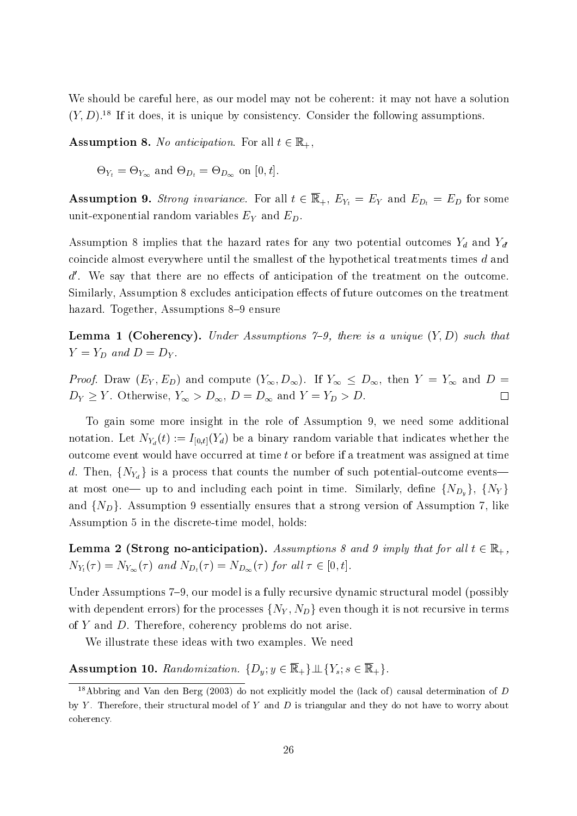We should be careful here, as our model may not be coherent: it may not have a solution  $(Y, D)$ .<sup>18</sup> If it does, it is unique by consistency. Consider the following assumptions.

**Assumption 8.** No anticipation. For all  $t \in \mathbb{R}_+$ ,

 $\sim I_t$   $\sim I_{\infty}$   $\sim$   $D_t$   $\sim$   $D_{\infty}$   $\sim$   $\sim$   $\sim$   $\sim$   $\sim$   $\sim$ 

Assumption 9. Strong invariance. For all the  $P_t$  some  $P_t$  in  $P_t$  is  $P_t$  and  $P_t$  and  $P_t$  and  $P_t$  and  $P_t$  is an operator some  $P_t$  and  $P_t$  and  $P_t$  and  $P_t$  and  $P_t$  and  $P_t$  and  $P_t$  and  $P_t$  and  $P_t$  and  $P_t$  and unit-exponential random variables  $E_Y$  and  $E_D$ .<br>Assumption 8 implies that the hazard rates for any two potential outcomes  $Y_d$  and  $Y_{d'}$ 

coincide almost everywhere until the smallest of the hypothetical treatments times <sup>d</sup> and  $d'$ . We say that there are no effects of anticipation of the treatment on the outcome. Similarly, Assumption 8 excludes anticipation effects of future outcomes on the treatment hazard. Together, Assumptions 8–9 ensure

**Lemma 1 (Coherency).** Under Assumptions 7-9, there is a unique  $(Y, D)$  such that  $Y = Y_D$  and  $D = D_Y$ .

*Proof.* Draw  $(E_Y, E_D)$  and compute  $(Y_\infty, D_\infty)$ . If  $Y_\infty \leq D_\infty$ , then  $Y = Y_\infty$  and  $D =$  $D_Y \geq Y$ . Otherwise,  $Y_{\infty} > D_{\infty}$ ,  $D = D_{\infty}$  and  $Y = Y_D > D$ .  $\Box$ 

To gain some more insight in the role of Assumption 9, we need some additional notation. Let  $N_{Y_d}(t) := I_{[0,t]}(Y_d)$  be a binary random variable that indicates whether the outcome event would have occurred at time tor before if a treatment was assigned at time d. Then,  $\{N_{Y_d}\}\$ is a process that counts the number of such potential-outcome events at most one— up to and including each point in time. Similarly, define  $\{N_{D_y}\},\ \{N_Y\}$ and  $\{N_D\}$ . Assumption 9 essentially ensures that a strong version of Assumption 7, like Assumption 5 in the discrete-time model, holds:

**Lemma 2 (Strong no-anticipation).** Assumptions 8 and 9 imply that for all  $t \in \mathbb{R}_+$ ,  $N_{Y_t}(\tau) = N_{Y_{\infty}}(\tau)$  and  $N_{D_t}(\tau) = N_{D_{\infty}}(\tau)$  for all  $\tau \in [0, t]$ .

Under Assumptions 7–9, our model is a fully recursive dynamic structural model (possibly with dependent errors) for the processes  $\{N_Y, N_D\}$  even though it is not recursive in terms of <sup>Y</sup> and D. Therefore, coherency problems do not arise.

We illustrate these ideas with two examples. We need

Assumption 10. Randomization.  $\{D_y; y \in \overline{\mathbb{R}}_+\}\perp \{Y_s; s \in \overline{\mathbb{R}}_+\}.$ 

<sup>&</sup>lt;sup>18</sup>Abbring and Van den Berg (2003) do not explicitly model the (lack of) causal determination of D by Y. Therefore, their structural model of Y and  $D$  is triangular and they do not have to worry about coherency.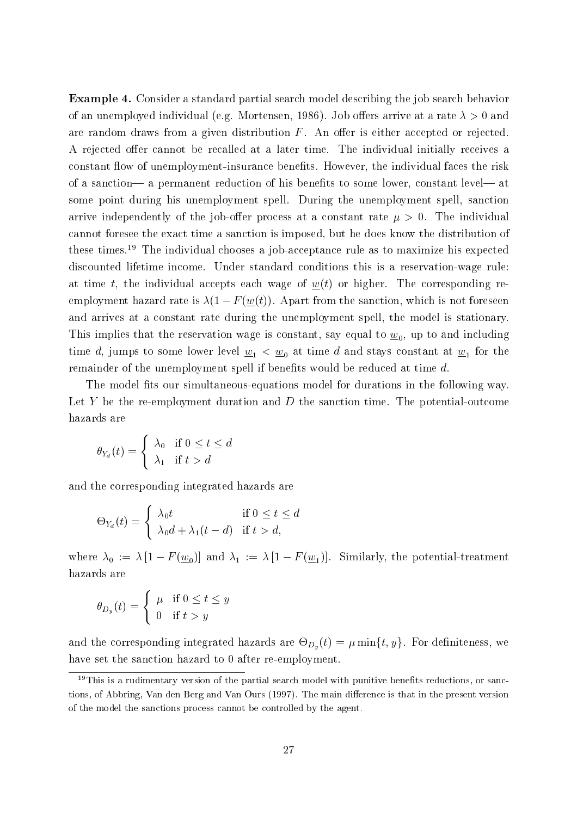Example 4. Consider a standard partial search model describing the job search behavior of an unemployed individual (e.g. Mortensen, 1986). Job offers arrive at a rate  $\lambda > 0$  and are random draws from a given distribution  $F$ . An offer is either accepted or rejected. A rejected offer cannot be recalled at a later time. The individual initially receives a constant flow of unemployment-insurance benefits. However, the individual faces the risk of a sanction— a permanent reduction of his benefits to some lower, constant level— at some point during his unemployment spell. During the unemployment spell, sanction arrive independently of the job-offer process at a constant rate  $\mu > 0$ . The individual cannot foresee the exact time a sanction is imposed, but he does know the distribution of these times.19 The individual chooses a job-acceptance rule as to maximize his expected discounted lifetime income. Under standard conditions this is a reservation-wage rule: at time t, the individual accepts each wage of  $w(t)$  or higher. The corresponding reemployment hazard rate is  $\lambda(1 - F(\underline{w}(t))$ . Apart from the sanction, which is not foreseen and arrives at a constant rate during the unemployment spell, the model is stationary. This implies that the reservation wage is constant, say equal to  $w_0$ , up to and including time d, jumps to some lower level  $\underline{w}_1 < \underline{w}_0$  at time d and stays constant at  $\underline{w}_1$  for the remainder of the unemployment spell if benefits would be reduced at time  $d$ .

The model fits our simultaneous-equations model for durations in the following way. Let Y be the re-employment duration and D the sanction time. The potential-outcome hazards are

$$
\theta_{Y_d}(t) = \begin{cases} \lambda_0 & \text{if } 0 \le t \le d \\ \lambda_1 & \text{if } t > d \end{cases}
$$

and the corresponding integrated hazards are

$$
\Theta_{Y_d}(t) = \begin{cases} \lambda_0 t & \text{if } 0 \le t \le d \\ \lambda_0 d + \lambda_1 (t - d) & \text{if } t > d, \end{cases}
$$

where  $\lambda_0 := \lambda [1 - F(\underline{w}_0)]$  and  $\lambda_1 := \lambda [1 - F(\underline{w}_1)]$ . Similarly, the potential-treatment hazards are

$$
\theta_{D_y}(t) = \begin{cases} \mu & \text{if } 0 \le t \le y \\ 0 & \text{if } t > y \end{cases}
$$

and the corresponding integrated hazards are  $\mathcal{D}_y$  (f)  $\mathcal{D}_y$  are  $(\cdot)$   $\vartheta$  ) for denote the set  $\gamma$  we define have set the sanction hazard to 0 after re-employment.

 $19$ This is a rudimentary version of the partial search model with punitive benefits reductions, or sanctions, of Abbring, Van den Berg and Van Ours (1997). The main difference is that in the present version of the model the sanctions process cannot be controlled by the agent.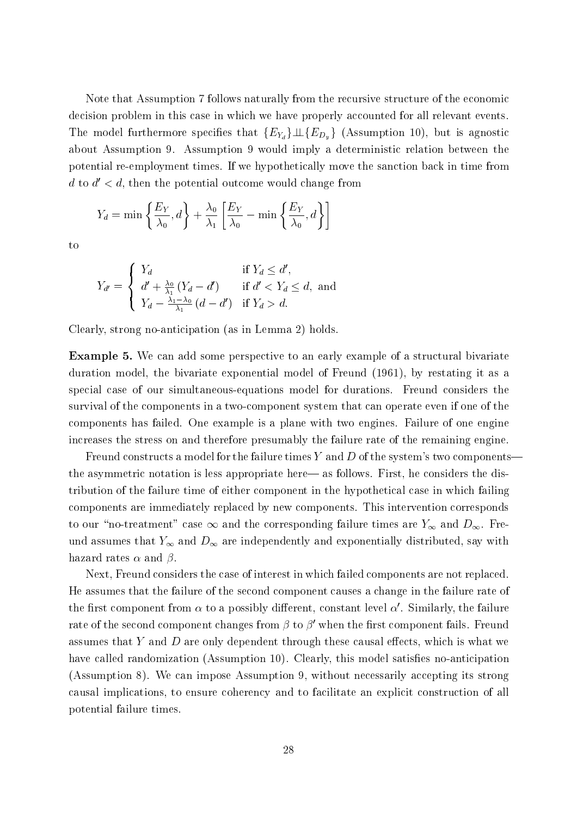Note that Assumption 7 follows naturally from the recursive structure of the economic decision problem in this case in which we have properly accounted for all relevant events. The model furthermore specifies that  ${E_{Y_d}}\perp{E_{D_y}}$  (Assumption 10), but is agnostic about Assumption 9. Assumption 9 would imply a deterministic relation between the potential re-employment times. If we hypothetically move the sanction back in time from d to  $d' < d$ , then the potential outcome would change from

$$
Y_d = \min\left\{\frac{E_Y}{\lambda_0}, d\right\} + \frac{\lambda_0}{\lambda_1} \left[\frac{E_Y}{\lambda_0} - \min\left\{\frac{E_Y}{\lambda_0}, d\right\} \right]
$$

to

$$
Y_{d'} = \begin{cases} Y_d & \text{if } Y_d \le d', \\ d' + \frac{\lambda_0}{\lambda_1} \left( Y_d - d' \right) & \text{if } d' < Y_d \le d, \text{ and} \\ Y_d - \frac{\lambda_1 - \lambda_0}{\lambda_1} \left( d - d' \right) & \text{if } Y_d > d. \end{cases}
$$

Clearly, strong no-anticipation (as in Lemma 2) holds.

Example 5. We can add some perspective to an early example of a structural bivariate duration model, the bivariate exponential model of Freund (1961), by restating it as a special case of our simultaneous-equations model for durations. Freund considers the survival of the components in a two-component system that can operate even if one of the components has failed. One example is a plane with two engines. Failure of one engine increases the stress on and therefore presumably the failure rate of the remaining engine.

Freund constructs a model for the failure times Y and D of the system's two components the asymmetric notation is less appropriate here— as follows. First, he considers the distribution of the failure time of either component in the hypothetical case in which failing components are immediately replaced by new components. This intervention corresponds to our "no-treatment" case  $\infty$  and the corresponding failure times are  $Y_{\infty}$  and  $D_{\infty}$ . Freund assumes that  $Y_{\infty}$  and  $D_{\infty}$  are independently and exponentially distributed, say with hazard rates  $\alpha$  and  $\beta$ .

Next, Freund considers the case of interest in which failed components are not replaced. He assumes that the failure of the second component causes a change in the failure rate of the first component from  $\alpha$  to a possibly different, constant level  $\alpha'$ . Similarly, the failure rate of the second component changes from  $\beta$  to  $\beta'$  when the first component fails. Freund assumes that Y and D are only dependent through these causal effects, which is what we have called randomization (Assumption 10). Clearly, this model satisfies no-anticipation (Assumption 8). We can impose Assumption 9, without necessarily accepting its strong causal implications, to ensure coherency and to facilitate an explicit construction of all potential failure times.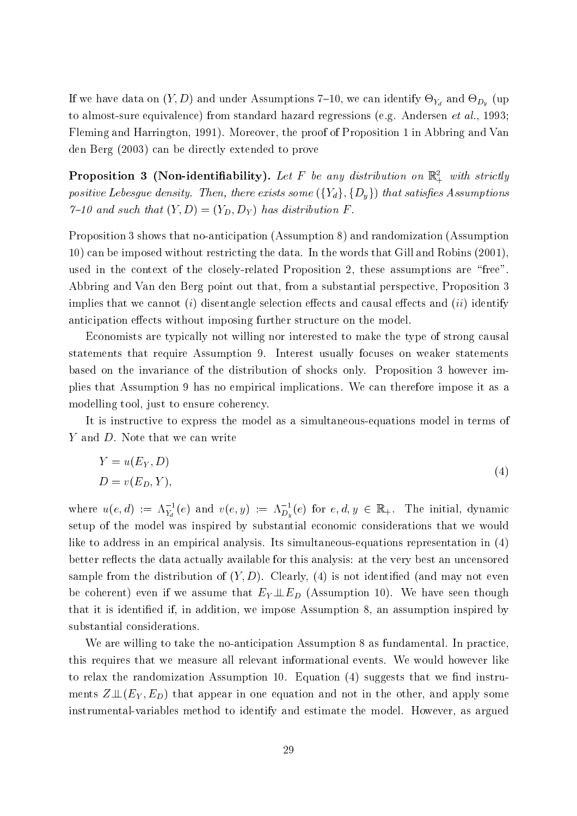If we have denoted  $\langle \, \cdot \, \, \rangle$  and we have also need the sumptions  $\langle \, \cdot \, \, \cdot \, \, \cdot \, \, \cdot \, \, \cdot \, \, \cdot \, \, \cdot \, \, \cdot \, \, \cdot \, \, \cdot \, \, \cdot \, \, \cdot \, \, \cdot \, \, \cdot \, \, \cdot \, \, \cdot \, \, \cdot \, \, \cdot \, \, \cdot \, \, \cdot \, \, \cdot \, \, \cdot \, \, \cdot \, \, \cdot \, \, \cdot$ to almost-sure equivalence) from standard hazard regressions (e.g. Andersen *et al.*, 1993; Fleming and Harrington, 1991). Moreover, the proof of Proposition 1 in Abbring and Van den Berg (2003) can be directly extended to prove

**Proposition 3 (Non-identifiability).** Let  $F$  be any astrollion on  $\mathbb{R}^+_+$  with strictly positive Lebesgue density. Then, there exists some  $({Y_d}, {D_y})$  that satisfies Assumptions  $7{\text -}10$  and such that  $(Y, D) = (Y_D, D_Y)$  has distribution F.

Proposition 3 shows that no-anticipation (Assumption 8) and randomization (Assumption 10) can be imposed without restricting the data. In the words that Gill and Robins (2001), used in the context of the closely-related Proposition 2, these assumptions are "free". Abbring and Van den Berg point out that, from a substantial perspective, Proposition 3 implies that we cannot (i) disentangle selection effects and causal effects and (ii) identify anticipation effects without imposing further structure on the model.

Economists are typically not willing nor interested to make the type of strong causal statements that require Assumption 9. Interest usually focuses on weaker statements based on the invariance of the distribution of shocks only. Proposition 3 however implies that Assumption 9 has no empirical implications. We can therefore impose it as a modelling tool, just to ensure coherency.

It is instructive to express the model as a simultaneous-equations model in terms of Y and D. Note that we can write

$$
Y = u(E_Y, D)
$$
  

$$
D = v(E_D, Y),
$$
 (4)

where  $u(e, a) := \Lambda_{Y_d}(e)$  and  $v(e, y) := \Lambda_{D_y}(e)$  for  $e, a, y \in \mathbb{R}_+$ . The initial, dynamic setup of the model was inspired by substantial economic considerations that we would like to address in an empirical analysis. Its simultaneous-equations representation in (4) better reflects the data actually available for this analysis: at the very best an uncensored sample from the distribution of  $(Y, D)$ . Clearly, (4) is not identified (and may not even be coherent) even if we assume that  $E_Y \perp E_D$  (Assumption 10). We have seen though that it is identied if, in addition, we impose Assumption 8, an assumption inspired by substantial considerations.

We are willing to take the no-anticipation Assumption 8 as fundamental. In practice, this requires that we measure all relevant informational events. We would however like to relax the randomization Assumption 10. Equation  $(4)$  suggests that we find instruments  $Z\mathbb{L}(E_Y, E_D)$  that appear in one equation and not in the other, and apply some instrumental-variables method to identify and estimate the model. However, as argued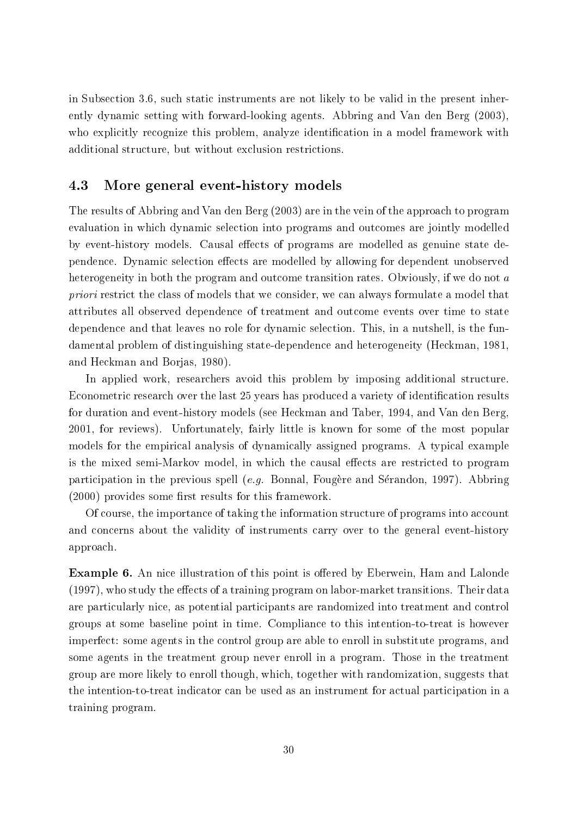in Subsection 3.6, such static instruments are not likely to be valid in the present inherently dynamic setting with forward-looking agents. Abbring and Van den Berg (2003), who explicitly recognize this problem, analyze identification in a model framework with additional structure, but without exclusion restrictions.

#### 4.3 More general event-history models

The results of Abbring and Van den Berg (2003) are in the vein of the approach to program evaluation in which dynamic selection into programs and outcomes are jointly modelled by event-history models. Causal effects of programs are modelled as genuine state dependence. Dynamic selection effects are modelled by allowing for dependent unobserved heterogeneity in both the program and outcome transition rates. Obviously, if we do not a priori restrict the class of models that we consider, we can always formulate a model that attributes all observed dependence of treatment and outcome events over time to state dependence and that leaves no role for dynamic selection. This, in a nutshell, is the fundamental problem of distinguishing state-dependence and heterogeneity (Heckman, 1981, and Heckman and Borjas, 1980).

In applied work, researchers avoid this problem by imposing additional structure. Econometric research over the last 25 years has produced a variety of identification results for duration and event-history models (see Heckman and Taber, 1994, and Van den Berg, 2001, for reviews). Unfortunately, fairly little is known for some of the most popular models for the empirical analysis of dynamically assigned programs. A typical example is the mixed semi-Markov model, in which the causal effects are restricted to program participation in the previous spell  $(e.g.$  Bonnal, Fougère and Sérandon, 1997). Abbring  $(2000)$  provides some first results for this framework.

Of course, the importance of taking the information structure of programs into account and concerns about the validity of instruments carry over to the general event-history approach.

**Example 6.** An nice illustration of this point is offered by Eberwein, Ham and Lalonde  $(1997)$ , who study the effects of a training program on labor-market transitions. Their data are particularly nice, as potential participants are randomized into treatment and control groups at some baseline point in time. Compliance to this intention-to-treat is however imperfect: some agents in the control group are able to enroll in substitute programs, and some agents in the treatment group never enroll in a program. Those in the treatment group are more likely to enroll though, which, together with randomization, suggests that the intention-to-treat indicator can be used as an instrument for actual participation in a training program.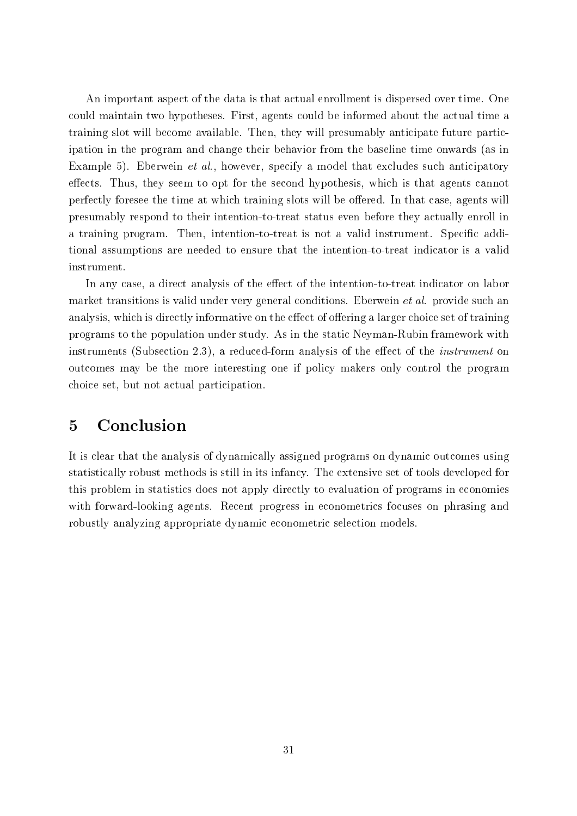An important aspect of the data is that actual enrollment is dispersed over time. One could maintain two hypotheses. First, agents could be informed about the actual time a training slot will become available. Then, they will presumably anticipate future participation in the program and change their behavior from the baseline time onwards (as in Example 5). Eberwein *et al.*, however, specify a model that excludes such anticipatory effects. Thus, they seem to opt for the second hypothesis, which is that agents cannot perfectly foresee the time at which training slots will be offered. In that case, agents will presumably respond to their intention-to-treat status even before they actually enroll in a training program. Then, intention-to-treat is not a valid instrument. Specific additional assumptions are needed to ensure that the intention-to-treat indicator is a valid instrument.

In any case, a direct analysis of the effect of the intention-to-treat indicator on labor market transitions is valid under very general conditions. Eberwein et al. provide such an analysis, which is directly informative on the effect of offering a larger choice set of training programs to the population under study. As in the static Neyman-Rubin framework with instruments (Subsection 2.3), a reduced-form analysis of the effect of the *instrument* on outcomes may be the more interesting one if policy makers only control the program choice set, but not actual participation.

## 5 Conclusion

It is clear that the analysis of dynamically assigned programs on dynamic outcomes using statistically robust methods is still in its infancy. The extensive set of tools developed for this problem in statistics does not apply directly to evaluation of programs in economies with forward-looking agents. Recent progress in econometrics focuses on phrasing and robustly analyzing appropriate dynamic econometric selection models.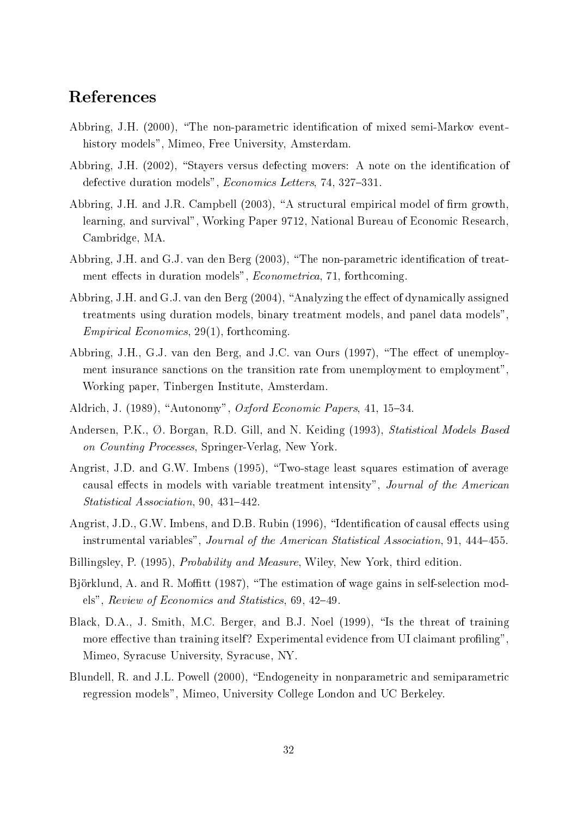## References

- Abbring, J.H. (2000), "The non-parametric identification of mixed semi-Markov eventhistory models", Mimeo, Free University, Amsterdam.
- Abbring, J.H.  $(2002)$ , "Stayers versus defecting movers: A note on the identification of defective duration models", *Economics Letters*, 74, 327-331.
- Abbring, J.H. and J.R. Campbell (2003), "A structural empirical model of firm growth, learning, and survival", Working Paper 9712, National Bureau of Economic Research, Cambridge, MA.
- Abbring, J.H. and G.J. van den Berg (2003), "The non-parametric identification of treatment effects in duration models", *Econometrica*, 71, forthcoming.
- Abbring, J.H. and G.J. van den Berg (2004), "Analyzing the effect of dynamically assigned treatments using duration models, binary treatment models, and panel data models", Empirical Economics, 29(1), forthcoming.
- Abbring, J.H., G.J. van den Berg, and J.C. van Ours (1997), "The effect of unemployment insurance sanctions on the transition rate from unemployment to employment", Working paper, Tinbergen Institute, Amsterdam.
- Aldrich, J. (1989), "Autonomy", Oxford Economic Papers, 41, 15-34.
- Andersen, P.K., Ø. Borgan, R.D. Gill, and N. Keiding (1993), Statistical Models Based on Counting Processes, Springer-Verlag, New York.
- Angrist, J.D. and G.W. Imbens (1995), "Two-stage least squares estimation of average causal effects in models with variable treatment intensity", Journal of the American Statistical Association, 90, 431-442.
- Angrist, J.D., G.W. Imbens, and D.B. Rubin (1996), "Identification of causal effects using instrumental variables", Journal of the American Statistical Association, 91, 444-455.
- Billingsley, P. (1995), Probability and Measure, Wiley, New York, third edition.
- Björklund, A. and R. Moffitt (1987), "The estimation of wage gains in self-selection models", Review of Economics and Statistics,  $69, 42-49$ .
- Black, D.A., J. Smith, M.C. Berger, and B.J. Noel (1999), "Is the threat of training more effective than training itself? Experimental evidence from UI claimant profiling", Mimeo, Syracuse University, Syracuse, NY.
- Blundell, R. and J.L. Powell (2000), \Endogeneity in nonparametric and semiparametric regression models", Mimeo, University College London and UC Berkeley.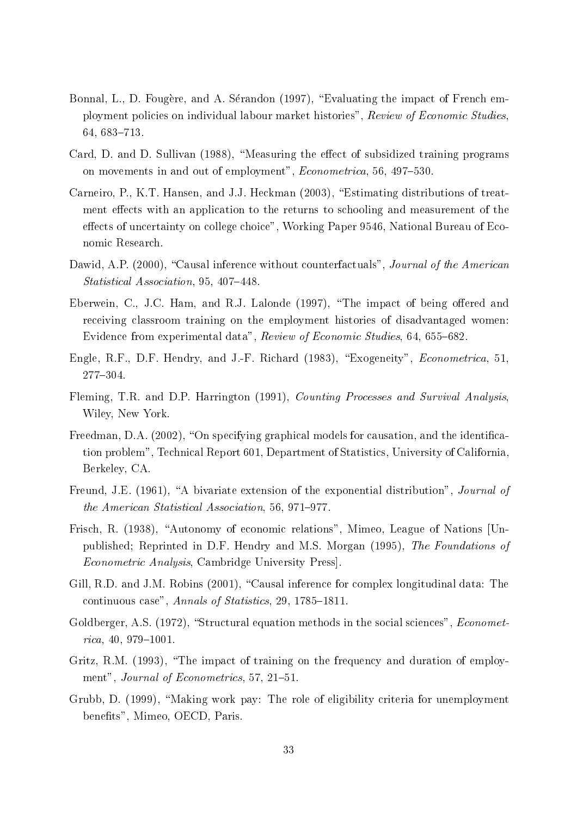- Bonnal, L., D. Fougère, and A. Sérandon (1997), "Evaluating the impact of French employment policies on individual labour market histories", Review of Economic Studies, 64, 683-713.
- Card, D. and D. Sullivan (1988), "Measuring the effect of subsidized training programs on movements in and out of employment", *Econometrica*, 56, 497-530.
- Carneiro, P., K.T. Hansen, and J.J. Heckman (2003), "Estimating distributions of treatment effects with an application to the returns to schooling and measurement of the effects of uncertainty on college choice", Working Paper 9546, National Bureau of Economic Research.
- Dawid, A.P. (2000), "Causal inference without counterfactuals", *Journal of the American* Statistical Association, 95, 407-448.
- Eberwein, C., J.C. Ham, and R.J. Lalonde (1997), "The impact of being offered and receiving classroom training on the employment histories of disadvantaged women: Evidence from experimental data", Review of Economic Studies, 64, 655-682.
- Engle, R.F., D.F. Hendry, and J.-F. Richard (1983), "Exogeneity", *Econometrica*, 51, 277-304.
- Fleming, T.R. and D.P. Harrington (1991), Counting Processes and Survival Analysis, Wiley, New York.
- Freedman, D.A.  $(2002)$ , "On specifying graphical models for causation, and the identification problem", Technical Report 601, Department of Statistics, University of California, Berkeley, CA.
- Freund, J.E. (1961), "A bivariate extension of the exponential distribution", Journal of the American Statistical Association, 56, 971-977.
- Frisch, R. (1938), "Autonomy of economic relations", Mimeo, League of Nations [Unpublished; Reprinted in D.F. Hendry and M.S. Morgan (1995), The Foundations of Econometric Analysis, Cambridge University Press].
- Gill, R.D. and J.M. Robins (2001), "Causal inference for complex longitudinal data: The continuous case", Annals of Statistics, 29, 1785-1811.
- Goldberger, A.S.  $(1972)$ , "Structural equation methods in the social sciences", *Economet* $rica, 40, 979{-}1001.$
- Gritz, R.M. (1993), "The impact of training on the frequency and duration of employment", Journal of Econometrics, 57, 21–51.
- Grubb, D. (1999), "Making work pay: The role of eligibility criteria for unemployment benets", Mimeo, OECD, Paris.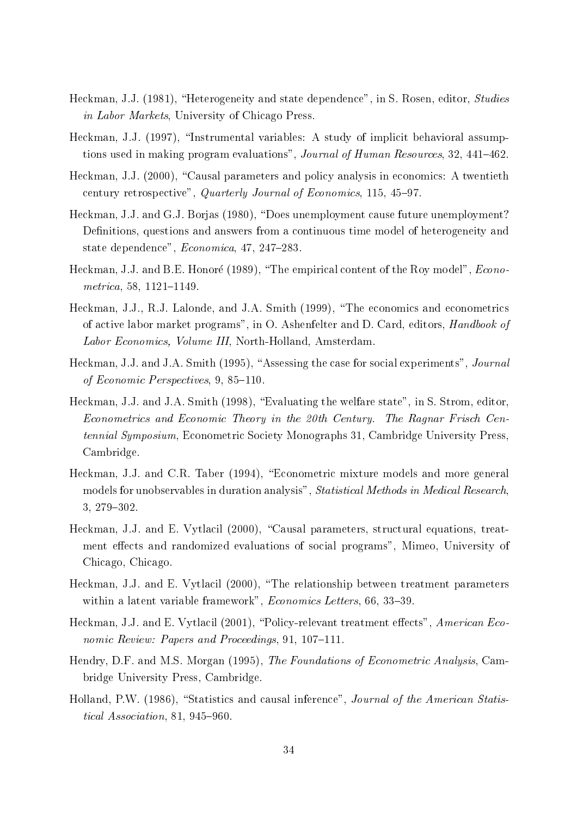- Heckman, J.J. (1981), "Heterogeneity and state dependence", in S. Rosen, editor, Studies in Labor Markets, University of Chicago Press.
- Heckman, J.J. (1997), "Instrumental variables: A study of implicit behavioral assumptions used in making program evaluations", Journal of Human Resources, 32, 441-462.
- Heckman, J.J. (2000), "Causal parameters and policy analysis in economics: A twentieth century retrospective", Quarterly Journal of Economics,  $115, 45-97$ .
- Heckman, J.J. and G.J. Borjas (1980), "Does unemployment cause future unemployment? Definitions, questions and answers from a continuous time model of heterogeneity and state dependence",  $Economica$ , 47, 247-283.
- Heckman, J.J. and B.E. Honoré (1989), "The empirical content of the Roy model", *Econo*metrica, 58,  $1121 - 1149$ .
- Heckman, J.J., R.J. Lalonde, and J.A. Smith (1999), "The economics and econometrics of active labor market programs", in O. Ashenfelter and D. Card, editors, Handbook of Labor Economics, Volume III, North-Holland, Amsterdam.
- Heckman, J.J. and J.A. Smith (1995), "Assessing the case for social experiments", *Journal* of Economic Perspectives,  $9, 85-110$ .
- Heckman, J.J. and J.A. Smith (1998), "Evaluating the welfare state", in S. Strom, editor, Econometrics and Economic Theory in the 20th Century. The Ragnar Frisch Centennial Symposium, Econometric Society Monographs 31, Cambridge University Press, Cambridge.
- Heckman, J.J. and C.R. Taber (1994), "Econometric mixture models and more general models for unobservables in duration analysis", Statistical Methods in Medical Research, 3, 279-302.
- Heckman, J.J. and E. Vytlacil (2000), "Causal parameters, structural equations, treatment effects and randomized evaluations of social programs", Mimeo, University of Chicago, Chicago.
- Heckman, J.J. and E. Vytlacil (2000), "The relationship between treatment parameters within a latent variable framework",  $Economics$  Letters, 66, 33-39.
- Heckman, J.J. and E. Vytlacil (2001), "Policy-relevant treatment effects", American Economic Review: Papers and Proceedings,  $91, 107-111$ .
- Hendry, D.F. and M.S. Morgan (1995), The Foundations of Econometric Analysis, Cambridge University Press, Cambridge.
- Holland, P.W. (1986), "Statistics and causal inference", *Journal of the American Statis*tical Association, 81, 945-960.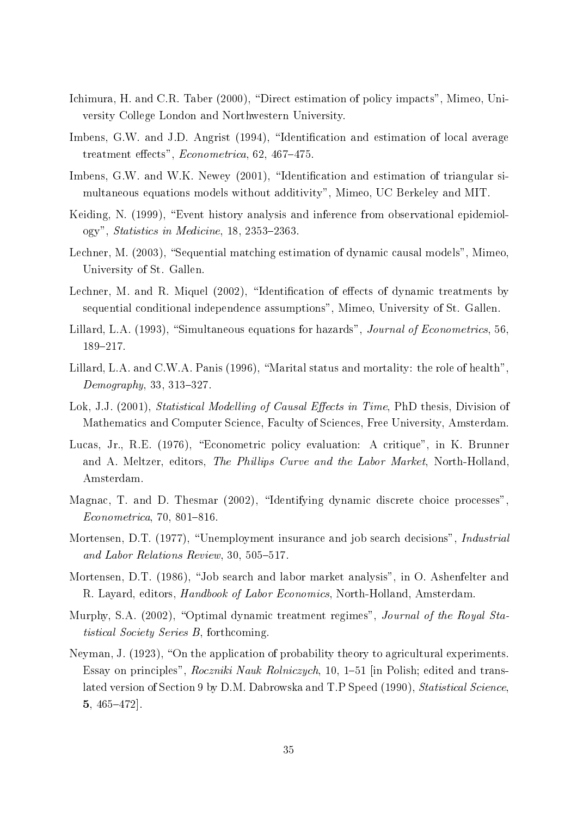- Ichimura, H. and C.R. Taber (2000), "Direct estimation of policy impacts", Mimeo, University College London and Northwestern University.
- Imbens, G.W. and J.D. Angrist (1994), "Identification and estimation of local average treatment effects",  $Econometrica$ , 62, 467-475.
- Imbens, G.W. and W.K. Newey (2001), "Identification and estimation of triangular simultaneous equations models without additivity", Mimeo, UC Berkeley and MIT.
- Keiding, N. (1999), "Event history analysis and inference from observational epidemiology", Statistics in Medicine,  $18$ ,  $2353-2363$ .
- Lechner, M.  $(2003)$ , "Sequential matching estimation of dynamic causal models", Mimeo. University of St. Gallen.
- Lechner, M. and R. Miquel  $(2002)$ , "Identification of effects of dynamic treatments by sequential conditional independence assumptions", Mimeo, University of St. Gallen.
- Lillard, L.A. (1993), "Simultaneous equations for hazards", Journal of Econometrics, 56, 189-217.
- Lillard, L.A. and C.W.A. Panis (1996), "Marital status and mortality: the role of health",  $Demography, 33, 313-327.$
- Lok, J.J. (2001), *Statistical Modelling of Causal Effects in Time*, PhD thesis, Division of Mathematics and Computer Science, Faculty of Sciences, Free University, Amsterdam.
- Lucas, Jr., R.E. (1976), "Econometric policy evaluation: A critique", in K. Brunner and A. Meltzer, editors, The Phillips Curve and the Labor Market, North-Holland, Amsterdam.
- Magnac, T. and D. Thesmar (2002), "Identifying dynamic discrete choice processes",  $Econometrica, 70, 801-816.$
- Mortensen, D.T. (1977), "Unemployment insurance and job search decisions", *Industrial* and Labor Relations Review,  $30, 505-517$ .
- Mortensen, D.T. (1986), "Job search and labor market analysis", in O. Ashenfelter and R. Layard, editors, Handbook of Labor Economics, North-Holland, Amsterdam.
- Murphy, S.A. (2002), "Optimal dynamic treatment regimes", *Journal of the Royal Sta*tistical Society Series B, forthcoming.
- Neyman, J. (1923), "On the application of probability theory to agricultural experiments. Essay on principles", Roczniki Nauk Rolniczych, 10, 1-51 [in Polish; edited and translated version of Section 9 by D.M. Dabrowska and T.P Speed (1990), Statistical Science. 5,  $465-472$ .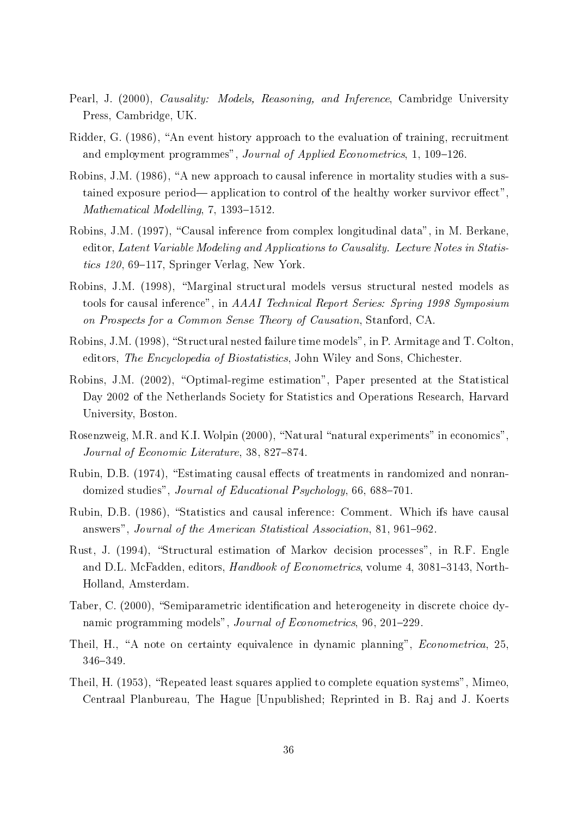- Pearl, J. (2000), Causality: Models, Reasoning, and Inference, Cambridge University Press, Cambridge, UK.
- Ridder, G. (1986), "An event history approach to the evaluation of training, recruitment and employment programmes", Journal of Applied Econometrics, 1, 109-126.
- Robins, J.M. (1986), "A new approach to causal inference in mortality studies with a sustained exposure period— application to control of the healthy worker survivor effect". Mathematical Modelling,  $7, 1393-1512$ .
- Robins, J.M. (1997), "Causal inference from complex longitudinal data", in M. Berkane, editor, Latent Variable Modeling and Applications to Causality. Lecture Notes in Statistics  $120, 69-117$ , Springer Verlag, New York.
- Robins, J.M. (1998), "Marginal structural models versus structural nested models as tools for causal inference", in AAAI Technical Report Series: Spring 1998 Symposium on Prospects for a Common Sense Theory of Causation, Stanford, CA.
- Robins, J.M.  $(1998)$ , "Structural nested failure time models", in P. Armitage and T. Colton, editors, The Encyclopedia of Biostatistics, John Wiley and Sons, Chichester.
- Robins, J.M. (2002), "Optimal-regime estimation", Paper presented at the Statistical Day 2002 of the Netherlands Society for Statistics and Operations Research, Harvard University, Boston.
- Rosenzweig, M.R. and K.I. Wolpin (2000), "Natural "natural experiments" in economics". Journal of Economic Literature,  $38, 827-874$ .
- Rubin, D.B. (1974), "Estimating causal effects of treatments in randomized and nonrandomized studies", Journal of Educational Psychology, 66, 688-701.
- Rubin, D.B. (1986), "Statistics and causal inference: Comment. Which ifs have causal answers", Journal of the American Statistical Association, 81, 961–962.
- Rust, J. (1994), "Structural estimation of Markov decision processes", in R.F. Engle and D.L. McFadden, editors, *Handbook of Econometrics*, volume 4, 3081–3143, North-Holland, Amsterdam.
- Taber, C. (2000), "Semiparametric identification and heterogeneity in discrete choice dynamic programming models", Journal of Econometrics, 96, 201-229.
- Theil, H., "A note on certainty equivalence in dynamic planning", *Econometrica*, 25, 346-349.
- Theil, H. (1953), "Repeated least squares applied to complete equation systems", Mimeo, Centraal Planbureau, The Hague [Unpublished; Reprinted in B. Raj and J. Koerts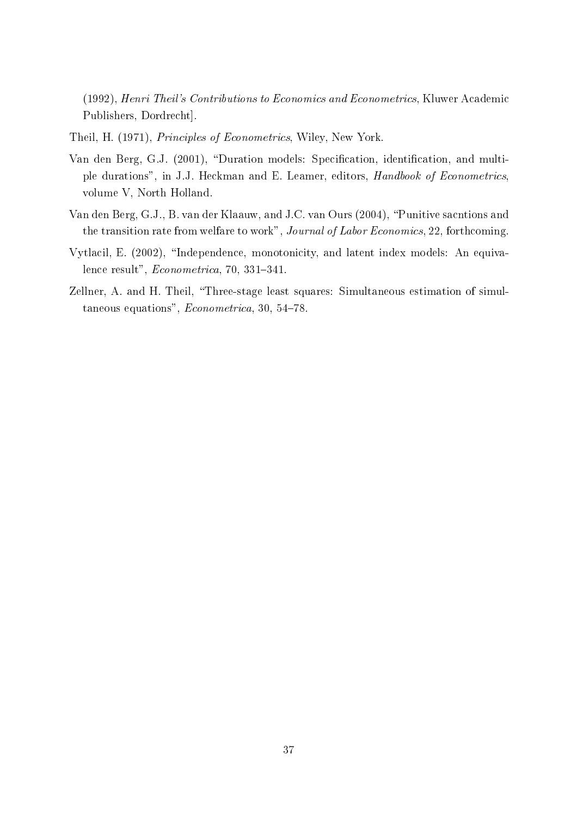(1992), Henri Theil's Contributions to Economics and Econometrics, Kluwer Academic Publishers, Dordrecht].

- Theil, H. (1971), Principles of Econometrics, Wiley, New York.
- Van den Berg, G.J. (2001), "Duration models: Specification, identification, and multiple durations", in J.J. Heckman and E. Leamer, editors, Handbook of Econometrics, volume V, North Holland.
- Van den Berg, G.J., B. van der Klaauw, and J.C. van Ours (2004), \Punitive sacntions and the transition rate from welfare to work", Journal of Labor Economics, 22, forthcoming.
- Vytlacil, E. (2002), "Independence, monotonicity, and latent index models: An equivalence result",  $Econometrica$ , 70, 331-341.
- Zellner, A. and H. Theil, "Three-stage least squares: Simultaneous estimation of simultaneous equations",  $Econometrica$ , 30, 54-78.